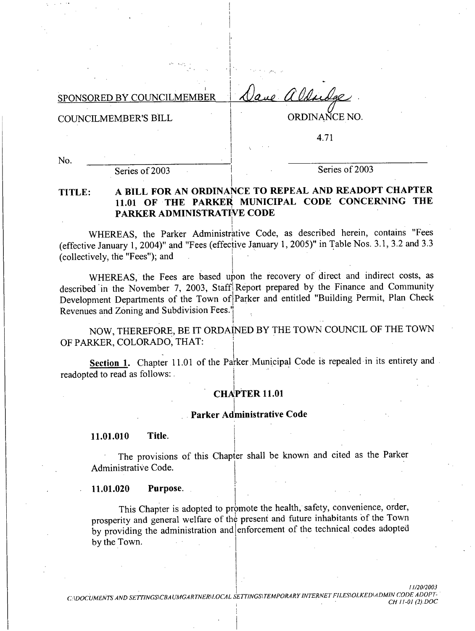| SPONSORED BY COUNCILMEMBER Lave alderda |  |  |
|-----------------------------------------|--|--|
|                                         |  |  |

**COUNCILMEMBER'S BILL** 

ORDINANCE NO.

4.71

No.

Series of 2003

Series of 2003

### A BILL FOR AN ORDINANCE TO REPEAL AND READOPT CHAPTER TITLE: 11.01 OF THE PARKER MUNICIPAL CODE CONCERNING THE PARKER ADMINISTRATIVE CODE

WHEREAS, the Parker Administrative Code, as described herein, contains "Fees (effective January 1, 2004)" and "Fees (effective January 1, 2005)" in Table Nos. 3.1, 3.2 and 3.3 (collectively, the "Fees"); and

WHEREAS, the Fees are based upon the recovery of direct and indirect costs, as described in the November 7, 2003, Staff Report prepared by the Finance and Community Development Departments of the Town of Parker and entitled "Building Permit, Plan Check Revenues and Zoning and Subdivision Fees."

NOW, THEREFORE, BE IT ORDAINED BY THE TOWN COUNCIL OF THE TOWN OF PARKER, COLORADO, THAT:

Section 1. Chapter 11.01 of the Parker Municipal Code is repealed in its entirety and readopted to read as follows:

## **CHAPTER 11.01**

### Parker Administrative Code

Title. 11.01.010

The provisions of this Chapter shall be known and cited as the Parker Administrative Code.

Purpose. 11.01.020

This Chapter is adopted to promote the health, safety, convenience, order, prosperity and general welfare of the present and future inhabitants of the Town by providing the administration and enforcement of the technical codes adopted by the Town.

CADOCUMENTS AND SETTINGS\CBAUMGARTNER\LOCAL SETTINGS\TEMPORARY INTERNET FILES\OLKED\ADMIN CODE ADOPT-CH 11-01 (2).DOC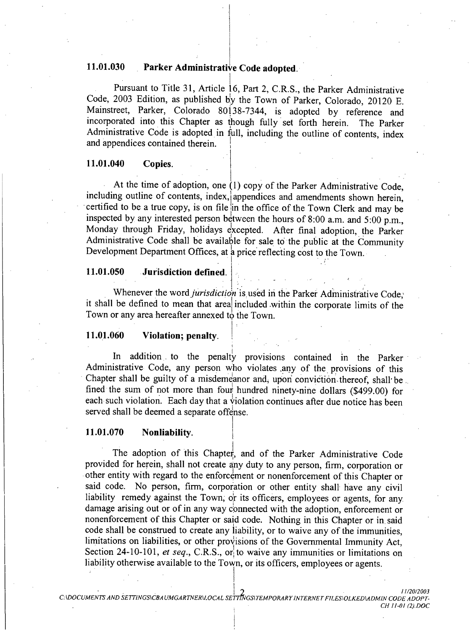#### 11.01.030 Parker Administrative Code adopted.

Pursuant to Title 31, Article 16, Part 2, C.R.S., the Parker Administrative Code, 2003 Edition, as published by the Town of Parker, Colorado, 20120 E. Mainstreet, Parker, Colorado 80138-7344, is adopted by reference and incorporated into this Chapter as though fully set forth herein. The Parker Administrative Code is adopted in full, including the outline of contents, index and appendices contained therein.

#### 11.01.040 Copies.

At the time of adoption, one (1) copy of the Parker Administrative Code. including outline of contents, index, appendices and amendments shown herein, certified to be a true copy, is on file in the office of the Town Clerk and may be inspected by any interested person between the hours of 8:00 a.m. and 5:00 p.m., Monday through Friday, holidays excepted. After final adoption, the Parker Administrative Code shall be available for sale to the public at the Community Development Department Offices, at a price reflecting cost to the Town.

#### 11.01.050 Jurisdiction defined.

Whenever the word *jurisdiction* is used in the Parker Administrative Code. it shall be defined to mean that area included within the corporate limits of the Town or any area hereafter annexed to the Town.

#### 11.01.060 Violation; penalty.

In addition to the penalty provisions contained in the Parker Administrative Code, any person who violates any of the provisions of this Chapter shall be guilty of a misdemeanor and, upon conviction thereof, shall be fined the sum of not more than four hundred ninety-nine dollars (\$499.00) for each such violation. Each day that a violation continues after due notice has been served shall be deemed a separate offense.

#### 11.01.070 Nonliability.

The adoption of this Chapter, and of the Parker Administrative Code provided for herein, shall not create any duty to any person, firm, corporation or other entity with regard to the enforcement or nonenforcement of this Chapter or said code. No person, firm, corporation or other entity shall have any civil liability remedy against the Town, or its officers, employees or agents, for any damage arising out or of in any way connected with the adoption, enforcement or nonenforcement of this Chapter or said code. Nothing in this Chapter or in said code shall be construed to create any liability, or to waive any of the immunities. limitations on liabilities, or other provisions of the Governmental Immunity Act, Section 24-10-101, et seq., C.R.S., or to waive any immunities or limitations on liability otherwise available to the Town, or its officers, employees or agents.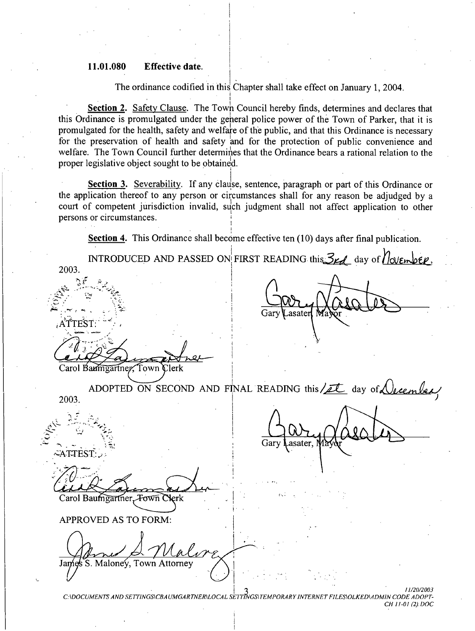#### 11.01.080 **Effective date.**

Jame

S. Maloney,

The ordinance codified in this Chapter shall take effect on January 1, 2004.

Section 2. Safety Clause. The Town Council hereby finds, determines and declares that this Ordinance is promulgated under the general police power of the Town of Parker, that it is promulgated for the health, safety and welfare of the public, and that this Ordinance is necessary for the preservation of health and safety and for the protection of public convenience and welfare. The Town Council further determines that the Ordinance bears a rational relation to the proper legislative object sought to be obtained.

Section 3. Severability. If any clause, sentence, paragraph or part of this Ordinance or the application thereof to any person or circumstances shall for any reason be adjudged by a court of competent jurisdiction invalid, such judgment shall not affect application to other persons or circumstances.

**Section 4.** This Ordinance shall become effective ten (10) days after final publication.

INTRODUCED AND PASSED ON FIRST READING this  $\mathcal{Z}_{\mathcal{L}}$  day of  $\eta$  overhold, 2003. asater :A TTEST: Carol Baumgartner, Town Clerk ADOPTED ON SECOND AND FINAL READING this/et day of Vecember 2003. Gary asater. ∽ATTEST: Carol Baumgartner, Fown Clerk **APPROVED AS TO FORM:** 

11/20/2003 C:\DOCUMENTS AND SETTINGS\CBAUMGARTNER\LOCAL SETTINGS\TEMPORARY INTERNET FILES\OLKED\ADMIN CODE ADOPT-CH 11-01 (2) DOC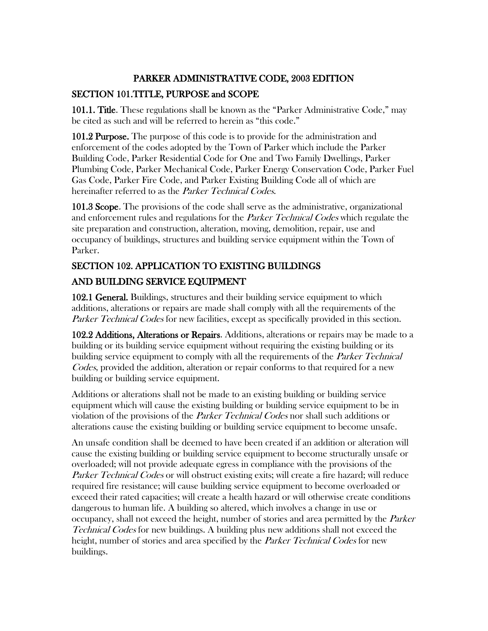## PARKER ADMINISTRATIVE CODE, 2003 EDITION

# SECTION 101.TITLE, PURPOSE and SCOPE

101.1. Title. These regulations shall be known as the "Parker Administrative Code," may be cited as such and will be referred to herein as "this code."

101.2 Purpose. The purpose of this code is to provide for the administration and enforcement of the codes adopted by the Town of Parker which include the Parker Building Code, Parker Residential Code for One and Two Family Dwellings, Parker Plumbing Code, Parker Mechanical Code, Parker Energy Conservation Code, Parker Fuel Gas Code, Parker Fire Code, and Parker Existing Building Code all of which are hereinafter referred to as the *Parker Technical Codes*.

101.3 Scope. The provisions of the code shall serve as the administrative, organizational and enforcement rules and regulations for the *Parker Technical Codes* which regulate the site preparation and construction, alteration, moving, demolition, repair, use and occupancy of buildings, structures and building service equipment within the Town of Parker.

# SECTION 102. APPLICATION TO EXISTING BUILDINGS AND BUILDING SERVICE EQUIPMENT

102.1 General. Buildings, structures and their building service equipment to which additions, alterations or repairs are made shall comply with all the requirements of the Parker Technical Codes for new facilities, except as specifically provided in this section.

102.2 Additions, Alterations or Repairs. Additions, alterations or repairs may be made to a building or its building service equipment without requiring the existing building or its building service equipment to comply with all the requirements of the *Parker Technical* Codes, provided the addition, alteration or repair conforms to that required for a new building or building service equipment.

Additions or alterations shall not be made to an existing building or building service equipment which will cause the existing building or building service equipment to be in violation of the provisions of the *Parker Technical Codes* nor shall such additions or alterations cause the existing building or building service equipment to become unsafe.

An unsafe condition shall be deemed to have been created if an addition or alteration will cause the existing building or building service equipment to become structurally unsafe or overloaded; will not provide adequate egress in compliance with the provisions of the Parker Technical Codes or will obstruct existing exits; will create a fire hazard; will reduce required fire resistance; will cause building service equipment to become overloaded or exceed their rated capacities; will create a health hazard or will otherwise create conditions dangerous to human life. A building so altered, which involves a change in use or occupancy, shall not exceed the height, number of stories and area permitted by the Parker Technical Codes for new buildings. A building plus new additions shall not exceed the height, number of stories and area specified by the *Parker Technical Codes* for new buildings.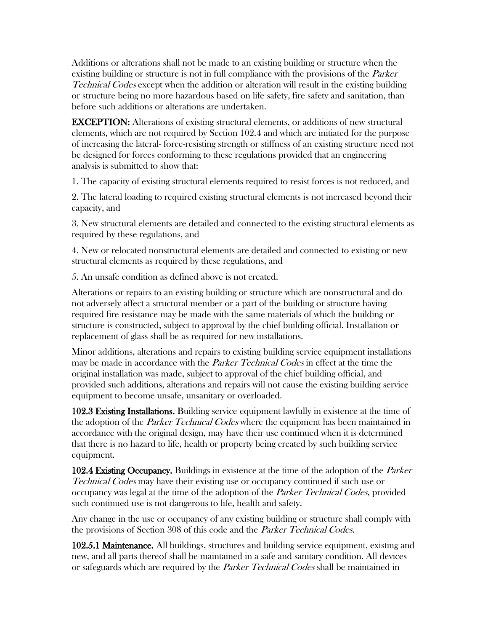Additions or alterations shall not be made to an existing building or structure when the existing building or structure is not in full compliance with the provisions of the *Parker* Technical Codes except when the addition or alteration will result in the existing building or structure being no more hazardous based on life safety, fire safety and sanitation, than before such additions or alterations are undertaken.

EXCEPTION: Alterations of existing structural elements, or additions of new structural elements, which are not required by Section 102.4 and which are initiated for the purpose of increasing the lateral- force-resisting strength or stiffness of an existing structure need not be designed for forces conforming to these regulations provided that an engineering analysis is submitted to show that:

1. The capacity of existing structural elements required to resist forces is not reduced, and

2. The lateral loading to required existing structural elements is not increased beyond their capacity, and

3. New structural elements are detailed and connected to the existing structural elements as required by these regulations, and

4. New or relocated nonstructural elements are detailed and connected to existing or new structural elements as required by these regulations, and

5. An unsafe condition as defined above is not created.

Alterations or repairs to an existing building or structure which are nonstructural and do not adversely affect a structural member or a part of the building or structure having required fire resistance may be made with the same materials of which the building or structure is constructed, subject to approval by the chief building official. Installation or replacement of glass shall be as required for new installations.

Minor additions, alterations and repairs to existing building service equipment installations may be made in accordance with the *Parker Technical Codes* in effect at the time the original installation was made, subject to approval of the chief building official, and provided such additions, alterations and repairs will not cause the existing building service equipment to become unsafe, unsanitary or overloaded.

102.3 Existing Installations. Building service equipment lawfully in existence at the time of the adoption of the *Parker Technical Codes* where the equipment has been maintained in accordance with the original design, may have their use continued when it is determined that there is no hazard to life, health or property being created by such building service equipment.

102.4 Existing Occupancy. Buildings in existence at the time of the adoption of the *Parker* Technical Codes may have their existing use or occupancy continued if such use or occupancy was legal at the time of the adoption of the Parker Technical Codes, provided such continued use is not dangerous to life, health and safety.

Any change in the use or occupancy of any existing building or structure shall comply with the provisions of Section 308 of this code and the *Parker Technical Codes*.

102.5.1 Maintenance. All buildings, structures and building service equipment, existing and new, and all parts thereof shall be maintained in a safe and sanitary condition. All devices or safeguards which are required by the *Parker Technical Codes* shall be maintained in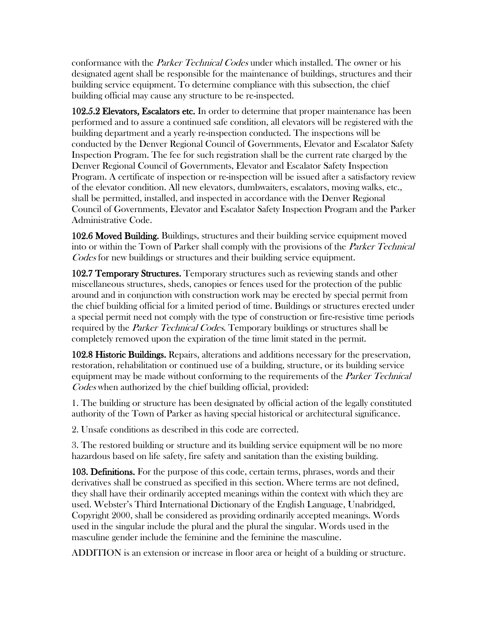conformance with the Parker Technical Codes under which installed. The owner or his designated agent shall be responsible for the maintenance of buildings, structures and their building service equipment. To determine compliance with this subsection, the chief building official may cause any structure to be re-inspected.

102.5.2 Elevators, Escalators etc. In order to determine that proper maintenance has been performed and to assure a continued safe condition, all elevators will be registered with the building department and a yearly re-inspection conducted. The inspections will be conducted by the Denver Regional Council of Governments, Elevator and Escalator Safety Inspection Program. The fee for such registration shall be the current rate charged by the Denver Regional Council of Governments, Elevator and Escalator Safety Inspection Program. A certificate of inspection or re-inspection will be issued after a satisfactory review of the elevator condition. All new elevators, dumbwaiters, escalators, moving walks, etc., shall be permitted, installed, and inspected in accordance with the Denver Regional Council of Governments, Elevator and Escalator Safety Inspection Program and the Parker Administrative Code.

102.6 Moved Building. Buildings, structures and their building service equipment moved into or within the Town of Parker shall comply with the provisions of the *Parker Technical* Codes for new buildings or structures and their building service equipment.

102.7 Temporary Structures. Temporary structures such as reviewing stands and other miscellaneous structures, sheds, canopies or fences used for the protection of the public around and in conjunction with construction work may be erected by special permit from the chief building official for a limited period of time. Buildings or structures erected under a special permit need not comply with the type of construction or fire-resistive time periods required by the *Parker Technical Codes*. Temporary buildings or structures shall be completely removed upon the expiration of the time limit stated in the permit.

102.8 Historic Buildings. Repairs, alterations and additions necessary for the preservation, restoration, rehabilitation or continued use of a building, structure, or its building service equipment may be made without conforming to the requirements of the *Parker Technical* Codes when authorized by the chief building official, provided:

1. The building or structure has been designated by official action of the legally constituted authority of the Town of Parker as having special historical or architectural significance.

2. Unsafe conditions as described in this code are corrected.

3. The restored building or structure and its building service equipment will be no more hazardous based on life safety, fire safety and sanitation than the existing building.

103. Definitions. For the purpose of this code, certain terms, phrases, words and their derivatives shall be construed as specified in this section. Where terms are not defined, they shall have their ordinarily accepted meanings within the context with which they are used. Webster's Third International Dictionary of the English Language, Unabridged, Copyright 2000, shall be considered as providing ordinarily accepted meanings. Words used in the singular include the plural and the plural the singular. Words used in the masculine gender include the feminine and the feminine the masculine.

ADDITION is an extension or increase in floor area or height of a building or structure.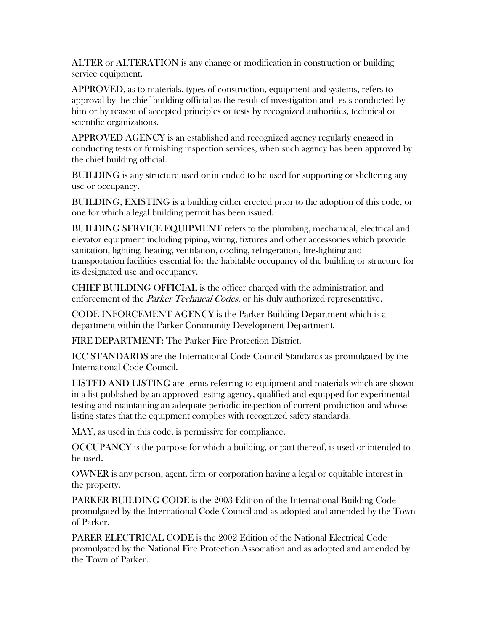ALTER or ALTERATION is any change or modification in construction or building service equipment.

APPROVED, as to materials, types of construction, equipment and systems, refers to approval by the chief building official as the result of investigation and tests conducted by him or by reason of accepted principles or tests by recognized authorities, technical or scientific organizations.

APPROVED AGENCY is an established and recognized agency regularly engaged in conducting tests or furnishing inspection services, when such agency has been approved by the chief building official.

BUILDING is any structure used or intended to be used for supporting or sheltering any use or occupancy.

BUILDING, EXISTING is a building either erected prior to the adoption of this code, or one for which a legal building permit has been issued.

BUILDING SERVICE EQUIPMENT refers to the plumbing, mechanical, electrical and elevator equipment including piping, wiring, fixtures and other accessories which provide sanitation, lighting, heating, ventilation, cooling, refrigeration, fire-fighting and transportation facilities essential for the habitable occupancy of the building or structure for its designated use and occupancy.

CHIEF BUILDING OFFICIAL is the officer charged with the administration and enforcement of the *Parker Technical Codes*, or his duly authorized representative.

CODE INFORCEMENT AGENCY is the Parker Building Department which is a department within the Parker Community Development Department.

FIRE DEPARTMENT: The Parker Fire Protection District.

ICC STANDARDS are the International Code Council Standards as promulgated by the International Code Council.

LISTED AND LISTING are terms referring to equipment and materials which are shown in a list published by an approved testing agency, qualified and equipped for experimental testing and maintaining an adequate periodic inspection of current production and whose listing states that the equipment complies with recognized safety standards.

MAY, as used in this code, is permissive for compliance.

OCCUPANCY is the purpose for which a building, or part thereof, is used or intended to be used.

OWNER is any person, agent, firm or corporation having a legal or equitable interest in the property.

PARKER BUILDING CODE is the 2003 Edition of the International Building Code promulgated by the International Code Council and as adopted and amended by the Town of Parker.

PARER ELECTRICAL CODE is the 2002 Edition of the National Electrical Code promulgated by the National Fire Protection Association and as adopted and amended by the Town of Parker.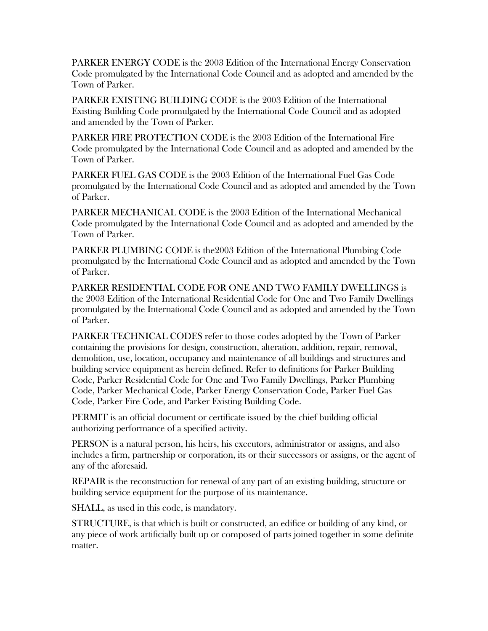PARKER ENERGY CODE is the 2003 Edition of the International Energy Conservation Code promulgated by the International Code Council and as adopted and amended by the Town of Parker.

PARKER EXISTING BUILDING CODE is the 2003 Edition of the International Existing Building Code promulgated by the International Code Council and as adopted and amended by the Town of Parker.

PARKER FIRE PROTECTION CODE is the 2003 Edition of the International Fire Code promulgated by the International Code Council and as adopted and amended by the Town of Parker.

PARKER FUEL GAS CODE is the 2003 Edition of the International Fuel Gas Code promulgated by the International Code Council and as adopted and amended by the Town of Parker.

PARKER MECHANICAL CODE is the 2003 Edition of the International Mechanical Code promulgated by the International Code Council and as adopted and amended by the Town of Parker.

PARKER PLUMBING CODE is the2003 Edition of the International Plumbing Code promulgated by the International Code Council and as adopted and amended by the Town of Parker.

PARKER RESIDENTIAL CODE FOR ONE AND TWO FAMILY DWELLINGS is the 2003 Edition of the International Residential Code for One and Two Family Dwellings promulgated by the International Code Council and as adopted and amended by the Town of Parker.

PARKER TECHNICAL CODES refer to those codes adopted by the Town of Parker containing the provisions for design, construction, alteration, addition, repair, removal, demolition, use, location, occupancy and maintenance of all buildings and structures and building service equipment as herein defined. Refer to definitions for Parker Building Code, Parker Residential Code for One and Two Family Dwellings, Parker Plumbing Code, Parker Mechanical Code, Parker Energy Conservation Code, Parker Fuel Gas Code, Parker Fire Code, and Parker Existing Building Code.

PERMIT is an official document or certificate issued by the chief building official authorizing performance of a specified activity.

PERSON is a natural person, his heirs, his executors, administrator or assigns, and also includes a firm, partnership or corporation, its or their successors or assigns, or the agent of any of the aforesaid.

REPAIR is the reconstruction for renewal of any part of an existing building, structure or building service equipment for the purpose of its maintenance.

SHALL, as used in this code, is mandatory.

STRUCTURE, is that which is built or constructed, an edifice or building of any kind, or any piece of work artificially built up or composed of parts joined together in some definite matter.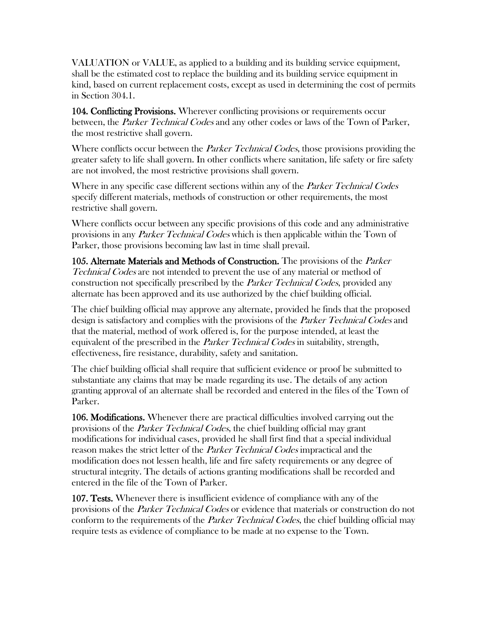VALUATION or VALUE, as applied to a building and its building service equipment, shall be the estimated cost to replace the building and its building service equipment in kind, based on current replacement costs, except as used in determining the cost of permits in Section 304.1.

104. Conflicting Provisions. Wherever conflicting provisions or requirements occur between, the *Parker Technical Codes* and any other codes or laws of the Town of Parker, the most restrictive shall govern.

Where conflicts occur between the *Parker Technical Codes*, those provisions providing the greater safety to life shall govern. In other conflicts where sanitation, life safety or fire safety are not involved, the most restrictive provisions shall govern.

Where in any specific case different sections within any of the *Parker Technical Codes* specify different materials, methods of construction or other requirements, the most restrictive shall govern.

Where conflicts occur between any specific provisions of this code and any administrative provisions in any Parker Technical Codes which is then applicable within the Town of Parker, those provisions becoming law last in time shall prevail.

105. Alternate Materials and Methods of Construction. The provisions of the *Parker* Technical Codes are not intended to prevent the use of any material or method of construction not specifically prescribed by the *Parker Technical Codes*, provided any alternate has been approved and its use authorized by the chief building official.

The chief building official may approve any alternate, provided he finds that the proposed design is satisfactory and complies with the provisions of the *Parker Technical Codes* and that the material, method of work offered is, for the purpose intended, at least the equivalent of the prescribed in the *Parker Technical Codes* in suitability, strength, effectiveness, fire resistance, durability, safety and sanitation.

The chief building official shall require that sufficient evidence or proof be submitted to substantiate any claims that may be made regarding its use. The details of any action granting approval of an alternate shall be recorded and entered in the files of the Town of Parker.

106. Modifications. Whenever there are practical difficulties involved carrying out the provisions of the *Parker Technical Codes*, the chief building official may grant modifications for individual cases, provided he shall first find that a special individual reason makes the strict letter of the *Parker Technical Codes* impractical and the modification does not lessen health, life and fire safety requirements or any degree of structural integrity. The details of actions granting modifications shall be recorded and entered in the file of the Town of Parker.

107. Tests. Whenever there is insufficient evidence of compliance with any of the provisions of the *Parker Technical Codes* or evidence that materials or construction do not conform to the requirements of the *Parker Technical Codes*, the chief building official may require tests as evidence of compliance to be made at no expense to the Town.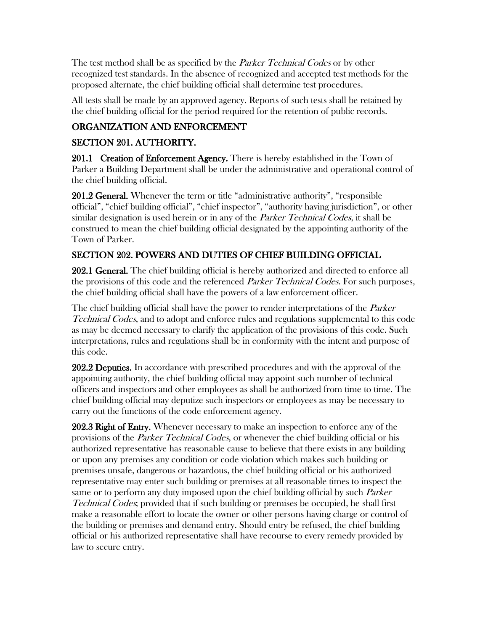The test method shall be as specified by the *Parker Technical Codes* or by other recognized test standards. In the absence of recognized and accepted test methods for the proposed alternate, the chief building official shall determine test procedures.

All tests shall be made by an approved agency. Reports of such tests shall be retained by the chief building official for the period required for the retention of public records.

# ORGANIZATION AND ENFORCEMENT

# SECTION 201. AUTHORITY.

201.1 Creation of Enforcement Agency. There is hereby established in the Town of Parker a Building Department shall be under the administrative and operational control of the chief building official.

201.2 General. Whenever the term or title "administrative authority", "responsible official", "chief building official", "chief inspector", "authority having jurisdiction", or other similar designation is used herein or in any of the *Parker Technical Codes*, it shall be construed to mean the chief building official designated by the appointing authority of the Town of Parker.

# SECTION 202. POWERS AND DUTIES OF CHIEF BUILDING OFFICIAL

202.1 General. The chief building official is hereby authorized and directed to enforce all the provisions of this code and the referenced *Parker Technical Codes*. For such purposes, the chief building official shall have the powers of a law enforcement officer.

The chief building official shall have the power to render interpretations of the *Parker* Technical Codes, and to adopt and enforce rules and regulations supplemental to this code as may be deemed necessary to clarify the application of the provisions of this code. Such interpretations, rules and regulations shall be in conformity with the intent and purpose of this code.

202.2 Deputies. In accordance with prescribed procedures and with the approval of the appointing authority, the chief building official may appoint such number of technical officers and inspectors and other employees as shall be authorized from time to time. The chief building official may deputize such inspectors or employees as may be necessary to carry out the functions of the code enforcement agency.

202.3 Right of Entry. Whenever necessary to make an inspection to enforce any of the provisions of the *Parker Technical Codes*, or whenever the chief building official or his authorized representative has reasonable cause to believe that there exists in any building or upon any premises any condition or code violation which makes such building or premises unsafe, dangerous or hazardous, the chief building official or his authorized representative may enter such building or premises at all reasonable times to inspect the same or to perform any duty imposed upon the chief building official by such *Parker* Technical Codes; provided that if such building or premises be occupied, he shall first make a reasonable effort to locate the owner or other persons having charge or control of the building or premises and demand entry. Should entry be refused, the chief building official or his authorized representative shall have recourse to every remedy provided by law to secure entry.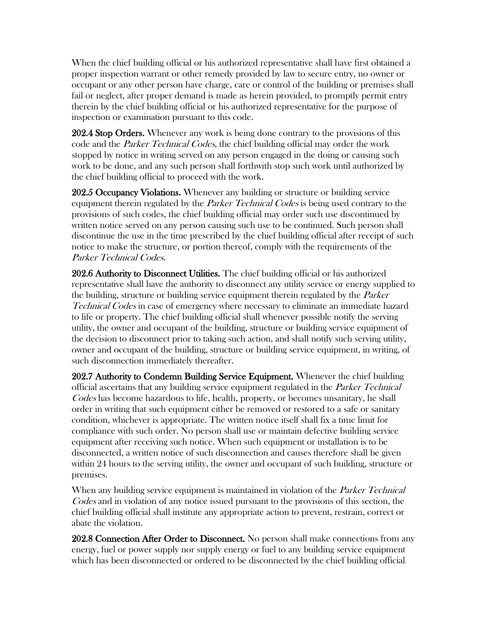When the chief building official or his authorized representative shall have first obtained a proper inspection warrant or other remedy provided by law to secure entry, no owner or occupant or any other person have charge, care or control of the building or premises shall fail or neglect, after proper demand is made as herein provided, to promptly permit entry therein by the chief building official or his authorized representative for the purpose of inspection or examination pursuant to this code.

202.4 Stop Orders. Whenever any work is being done contrary to the provisions of this code and the *Parker Technical Codes*, the chief building official may order the work stopped by notice in writing served on any person engaged in the doing or causing such work to be done, and any such person shall forthwith stop such work until authorized by the chief building official to proceed with the work.

202.5 Occupancy Violations. Whenever any building or structure or building service equipment therein regulated by the *Parker Technical Codes* is being used contrary to the provisions of such codes, the chief building official may order such use discontinued by written notice served on any person causing such use to be continued. Such person shall discontinue the use in the time prescribed by the chief building official after receipt of such notice to make the structure, or portion thereof, comply with the requirements of the Parker Technical Codes.

202.6 Authority to Disconnect Utilities. The chief building official or his authorized representative shall have the authority to disconnect any utility service or energy supplied to the building, structure or building service equipment therein regulated by the *Parker* Technical Codes in case of emergency where necessary to eliminate an immediate hazard to life or property. The chief building official shall whenever possible notify the serving utility, the owner and occupant of the building, structure or building service equipment of the decision to disconnect prior to taking such action, and shall notify such serving utility, owner and occupant of the building, structure or building service equipment, in writing, of such disconnection immediately thereafter.

202.7 Authority to Condemn Building Service Equipment. Whenever the chief building official ascertains that any building service equipment regulated in the *Parker Technical* Codes has become hazardous to life, health, property, or becomes unsanitary, he shall order in writing that such equipment either be removed or restored to a safe or sanitary condition, whichever is appropriate. The written notice itself shall fix a time limit for compliance with such order. No person shall use or maintain defective building service equipment after receiving such notice. When such equipment or installation is to be disconnected, a written notice of such disconnection and causes therefore shall be given within 24 hours to the serving utility, the owner and occupant of such building, structure or premises.

When any building service equipment is maintained in violation of the *Parker Technical* Codes and in violation of any notice issued pursuant to the provisions of this section, the chief building official shall institute any appropriate action to prevent, restrain, correct or abate the violation.

202.8 Connection After Order to Disconnect. No person shall make connections from any energy, fuel or power supply nor supply energy or fuel to any building service equipment which has been disconnected or ordered to be disconnected by the chief building official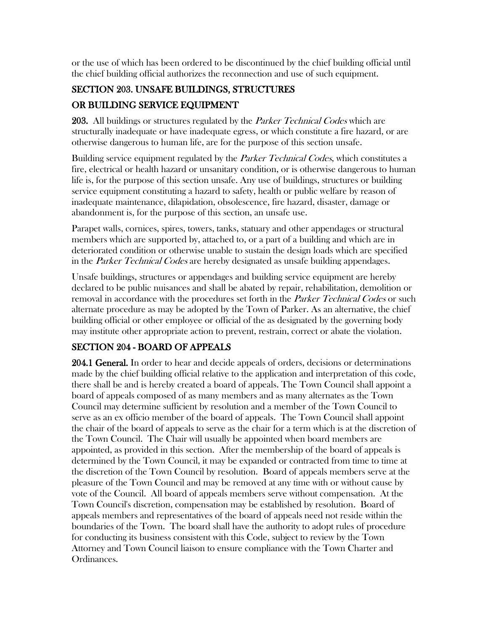or the use of which has been ordered to be discontinued by the chief building official until the chief building official authorizes the reconnection and use of such equipment.

# SECTION 203. UNSAFE BUILDINGS, STRUCTURES OR BUILDING SERVICE EQUIPMENT

203. All buildings or structures regulated by the *Parker Technical Codes* which are structurally inadequate or have inadequate egress, or which constitute a fire hazard, or are otherwise dangerous to human life, are for the purpose of this section unsafe.

Building service equipment regulated by the *Parker Technical Codes*, which constitutes a fire, electrical or health hazard or unsanitary condition, or is otherwise dangerous to human life is, for the purpose of this section unsafe. Any use of buildings, structures or building service equipment constituting a hazard to safety, health or public welfare by reason of inadequate maintenance, dilapidation, obsolescence, fire hazard, disaster, damage or abandonment is, for the purpose of this section, an unsafe use.

Parapet walls, cornices, spires, towers, tanks, statuary and other appendages or structural members which are supported by, attached to, or a part of a building and which are in deteriorated condition or otherwise unable to sustain the design loads which are specified in the *Parker Technical Codes* are hereby designated as unsafe building appendages.

Unsafe buildings, structures or appendages and building service equipment are hereby declared to be public nuisances and shall be abated by repair, rehabilitation, demolition or removal in accordance with the procedures set forth in the *Parker Technical Codes* or such alternate procedure as may be adopted by the Town of Parker. As an alternative, the chief building official or other employee or official of the as designated by the governing body may institute other appropriate action to prevent, restrain, correct or abate the violation.

# SECTION 204 - BOARD OF APPEALS

204.1 General. In order to hear and decide appeals of orders, decisions or determinations made by the chief building official relative to the application and interpretation of this code, there shall be and is hereby created a board of appeals. The Town Council shall appoint a board of appeals composed of as many members and as many alternates as the Town Council may determine sufficient by resolution and a member of the Town Council to serve as an ex officio member of the board of appeals. The Town Council shall appoint the chair of the board of appeals to serve as the chair for a term which is at the discretion of the Town Council. The Chair will usually be appointed when board members are appointed, as provided in this section. After the membership of the board of appeals is determined by the Town Council, it may be expanded or contracted from time to time at the discretion of the Town Council by resolution. Board of appeals members serve at the pleasure of the Town Council and may be removed at any time with or without cause by vote of the Council. All board of appeals members serve without compensation. At the Town Council's discretion, compensation may be established by resolution. Board of appeals members and representatives of the board of appeals need not reside within the boundaries of the Town. The board shall have the authority to adopt rules of procedure for conducting its business consistent with this Code, subject to review by the Town Attorney and Town Council liaison to ensure compliance with the Town Charter and Ordinances.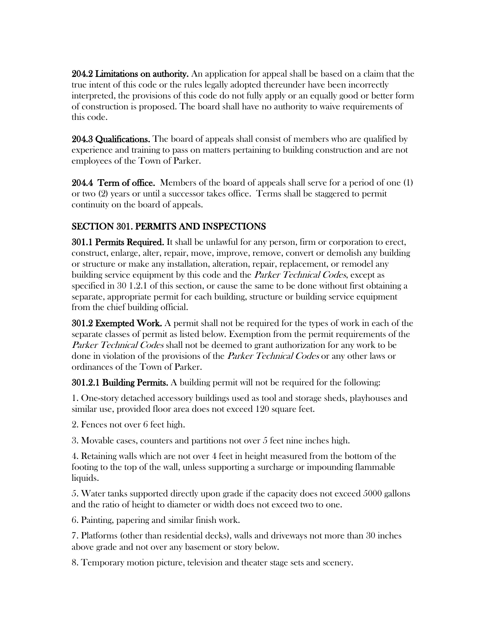204.2 Limitations on authority. An application for appeal shall be based on a claim that the true intent of this code or the rules legally adopted thereunder have been incorrectly interpreted, the provisions of this code do not fully apply or an equally good or better form of construction is proposed. The board shall have no authority to waive requirements of this code.

204.3 Qualifications. The board of appeals shall consist of members who are qualified by experience and training to pass on matters pertaining to building construction and are not employees of the Town of Parker.

204.4 Term of office. Members of the board of appeals shall serve for a period of one (1) or two (2) years or until a successor takes office. Terms shall be staggered to permit continuity on the board of appeals.

# SECTION 301. PERMITS AND INSPECTIONS

301.1 Permits Required. It shall be unlawful for any person, firm or corporation to erect, construct, enlarge, alter, repair, move, improve, remove, convert or demolish any building or structure or make any installation, alteration, repair, replacement, or remodel any building service equipment by this code and the *Parker Technical Codes*, except as specified in 30 1.2.1 of this section, or cause the same to be done without first obtaining a separate, appropriate permit for each building, structure or building service equipment from the chief building official.

301.2 Exempted Work. A permit shall not be required for the types of work in each of the separate classes of permit as listed below. Exemption from the permit requirements of the Parker Technical Codes shall not be deemed to grant authorization for any work to be done in violation of the provisions of the *Parker Technical Codes* or any other laws or ordinances of the Town of Parker.

301.2.1 Building Permits. A building permit will not be required for the following:

1. One-story detached accessory buildings used as tool and storage sheds, playhouses and similar use, provided floor area does not exceed 120 square feet.

2. Fences not over 6 feet high.

3. Movable cases, counters and partitions not over 5 feet nine inches high.

4. Retaining walls which are not over 4 feet in height measured from the bottom of the footing to the top of the wall, unless supporting a surcharge or impounding flammable liquids.

5. Water tanks supported directly upon grade if the capacity does not exceed 5000 gallons and the ratio of height to diameter or width does not exceed two to one.

6. Painting, papering and similar finish work.

7. Platforms (other than residential decks), walls and driveways not more than 30 inches above grade and not over any basement or story below.

8. Temporary motion picture, television and theater stage sets and scenery.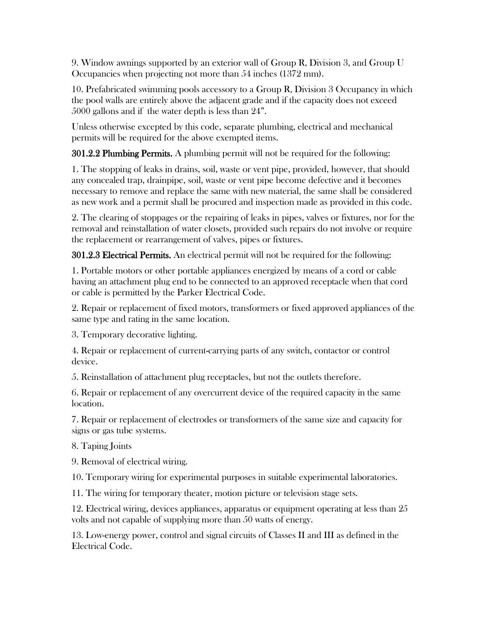9. Window awnings supported by an exterior wall of Group R, Division 3, and Group U Occupancies when projecting not more than 54 inches (1372 mm).

10. Prefabricated swimming pools accessory to a Group R, Division 3 Occupancy in which the pool walls are entirely above the adjacent grade and if the capacity does not exceed 5000 gallons and if the water depth is less than 24".

Unless otherwise excepted by this code, separate plumbing, electrical and mechanical permits will be required for the above exempted items.

301.2.2 Plumbing Permits. A plumbing permit will not be required for the following:

1. The stopping of leaks in drains, soil, waste or vent pipe, provided, however, that should any concealed trap, drainpipe, soil, waste or vent pipe become defective and it becomes necessary to remove and replace the same with new material, the same shall be considered as new work and a permit shall be procured and inspection made as provided in this code.

2. The clearing of stoppages or the repairing of leaks in pipes, valves or fixtures, nor for the removal and reinstallation of water closets, provided such repairs do not involve or require the replacement or rearrangement of valves, pipes or fixtures.

301.2.3 Electrical Permits. An electrical permit will not be required for the following:

1. Portable motors or other portable appliances energized by means of a cord or cable having an attachment plug end to be connected to an approved receptacle when that cord or cable is permitted by the Parker Electrical Code.

2. Repair or replacement of fixed motors, transformers or fixed approved appliances of the same type and rating in the same location.

3. Temporary decorative lighting.

4. Repair or replacement of current-carrying parts of any switch, contactor or control device.

5. Reinstallation of attachment plug receptacles, but not the outlets therefore.

6. Repair or replacement of any overcurrent device of the required capacity in the same location.

7. Repair or replacement of electrodes or transformers of the same size and capacity for signs or gas tube systems.

8. Taping Joints

9. Removal of electrical wiring.

10. Temporary wiring for experimental purposes in suitable experimental laboratories.

11. The wiring for temporary theater, motion picture or television stage sets.

12. Electrical wiring, devices appliances, apparatus or equipment operating at less than 25 volts and not capable of supplying more than 50 watts of energy.

13. Low-energy power, control and signal circuits of Classes II and III as defined in the Electrical Code.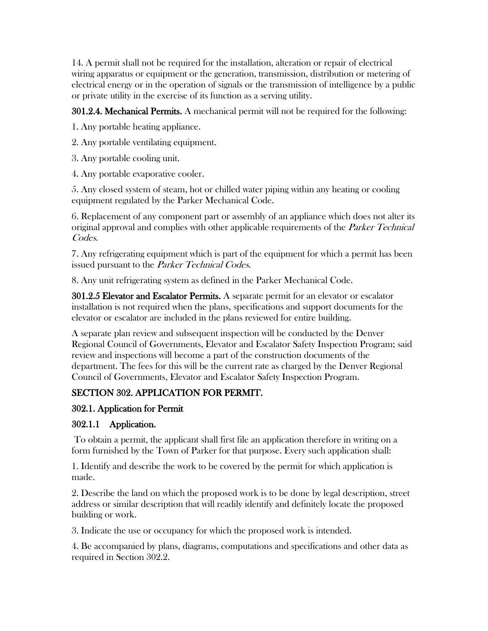14. A permit shall not be required for the installation, alteration or repair of electrical wiring apparatus or equipment or the generation, transmission, distribution or metering of electrical energy or in the operation of signals or the transmission of intelligence by a public or private utility in the exercise of its function as a serving utility.

301.2.4. Mechanical Permits. A mechanical permit will not be required for the following:

1. Any portable heating appliance.

- 2. Any portable ventilating equipment.
- 3. Any portable cooling unit.
- 4. Any portable evaporative cooler.

5. Any closed system of steam, hot or chilled water piping within any heating or cooling equipment regulated by the Parker Mechanical Code.

6. Replacement of any component part or assembly of an appliance which does not alter its original approval and complies with other applicable requirements of the *Parker Technical* Codes.

7. Any refrigerating equipment which is part of the equipment for which a permit has been issued pursuant to the *Parker Technical Codes*.

8. Any unit refrigerating system as defined in the Parker Mechanical Code.

301.2.5 Elevator and Escalator Permits. A separate permit for an elevator or escalator installation is not required when the plans, specifications and support documents for the elevator or escalator are included in the plans reviewed for entire building.

A separate plan review and subsequent inspection will be conducted by the Denver Regional Council of Governments, Elevator and Escalator Safety Inspection Program; said review and inspections will become a part of the construction documents of the department. The fees for this will be the current rate as charged by the Denver Regional Council of Governments, Elevator and Escalator Safety Inspection Program.

# SECTION 302. APPLICATION FOR PERMIT.

## 302.1. Application for Permit

## 302.1.1 Application.

To obtain a permit, the applicant shall first file an application therefore in writing on a form furnished by the Town of Parker for that purpose. Every such application shall:

1. Identify and describe the work to be covered by the permit for which application is made.

2. Describe the land on which the proposed work is to be done by legal description, street address or similar description that will readily identify and definitely locate the proposed building or work.

3. Indicate the use or occupancy for which the proposed work is intended.

4. Be accompanied by plans, diagrams, computations and specifications and other data as required in Section 302.2.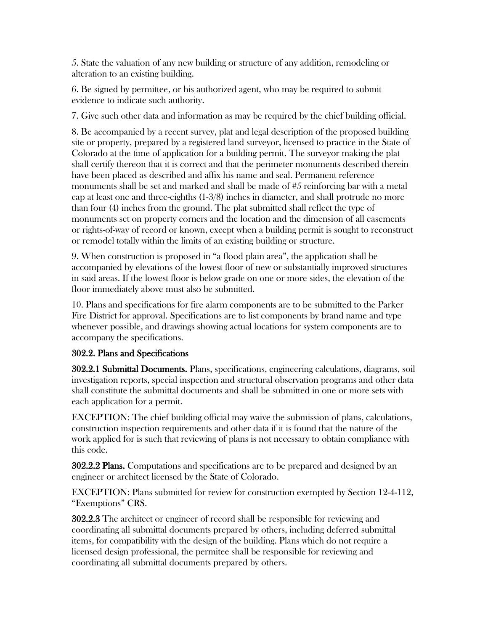5. State the valuation of any new building or structure of any addition, remodeling or alteration to an existing building.

6. Be signed by permittee, or his authorized agent, who may be required to submit evidence to indicate such authority.

7. Give such other data and information as may be required by the chief building official.

8. Be accompanied by a recent survey, plat and legal description of the proposed building site or property, prepared by a registered land surveyor, licensed to practice in the State of Colorado at the time of application for a building permit. The surveyor making the plat shall certify thereon that it is correct and that the perimeter monuments described therein have been placed as described and affix his name and seal. Permanent reference monuments shall be set and marked and shall be made of #5 reinforcing bar with a metal cap at least one and three-eighths (1-3/8) inches in diameter, and shall protrude no more than four (4) inches from the ground. The plat submitted shall reflect the type of monuments set on property corners and the location and the dimension of all easements or rights-of-way of record or known, except when a building permit is sought to reconstruct or remodel totally within the limits of an existing building or structure.

9. When construction is proposed in "a flood plain area", the application shall be accompanied by elevations of the lowest floor of new or substantially improved structures in said areas. If the lowest floor is below grade on one or more sides, the elevation of the floor immediately above must also be submitted.

10. Plans and specifications for fire alarm components are to be submitted to the Parker Fire District for approval. Specifications are to list components by brand name and type whenever possible, and drawings showing actual locations for system components are to accompany the specifications.

## 302.2. Plans and Specifications

302.2.1 Submittal Documents. Plans, specifications, engineering calculations, diagrams, soil investigation reports, special inspection and structural observation programs and other data shall constitute the submittal documents and shall be submitted in one or more sets with each application for a permit.

EXCEPTION: The chief building official may waive the submission of plans, calculations, construction inspection requirements and other data if it is found that the nature of the work applied for is such that reviewing of plans is not necessary to obtain compliance with this code.

302.2.2 Plans. Computations and specifications are to be prepared and designed by an engineer or architect licensed by the State of Colorado.

EXCEPTION: Plans submitted for review for construction exempted by Section 12-4-112, "Exemptions" CRS.

302.2.3 The architect or engineer of record shall be responsible for reviewing and coordinating all submittal documents prepared by others, including deferred submittal items, for compatibility with the design of the building. Plans which do not require a licensed design professional, the permitee shall be responsible for reviewing and coordinating all submittal documents prepared by others.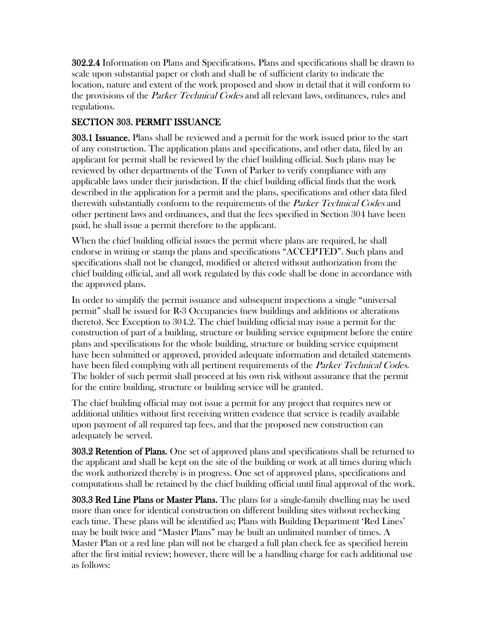302.2.4 Information on Plans and Specifications. Plans and specifications shall be drawn to scale upon substantial paper or cloth and shall be of sufficient clarity to indicate the location, nature and extent of the work proposed and show in detail that it will conform to the provisions of the *Parker Technical Codes* and all relevant laws, ordinances, rules and regulations.

# SECTION 303. PERMIT ISSUANCE

303.1 Issuance. Plans shall be reviewed and a permit for the work issued prior to the start of any construction. The application plans and specifications, and other data, filed by an applicant for permit shall be reviewed by the chief building official. Such plans may be reviewed by other departments of the Town of Parker to verify compliance with any applicable laws under their jurisdiction. If the chief building official finds that the work described in the application for a permit and the plans, specifications and other data filed therewith substantially conform to the requirements of the *Parker Technical Codes* and other pertinent laws and ordinances, and that the fees specified in Section 304 have been paid, he shall issue a permit therefore to the applicant.

When the chief building official issues the permit where plans are required, he shall endorse in writing or stamp the plans and specifications "ACCEPTED". Such plans and specifications shall not be changed, modified or altered without authorization from the chief building official, and all work regulated by this code shall be done in accordance with the approved plans.

In order to simplify the permit issuance and subsequent inspections a single "universal permit" shall be issued for R-3 Occupancies (new buildings and additions or alterations thereto). See Exception to 304.2. The chief building official may issue a permit for the construction of part of a building, structure or building service equipment before the entire plans and specifications for the whole building, structure or building service equipment have been submitted or approved, provided adequate information and detailed statements have been filed complying with all pertinent requirements of the *Parker Technical Codes*. The holder of such permit shall proceed at his own risk without assurance that the permit for the entire building, structure or building service will be granted.

The chief building official may not issue a permit for any project that requires new or additional utilities without first receiving written evidence that service is readily available upon payment of all required tap fees, and that the proposed new construction can adequately be served.

303.2 Retention of Plans. One set of approved plans and specifications shall be returned to the applicant and shall be kept on the site of the building or work at all times during which the work authorized thereby is in progress. One set of approved plans, specifications and computations shall be retained by the chief building official until final approval of the work.

303.3 Red Line Plans or Master Plans. The plans for a single-family dwelling may be used more than once for identical construction on different building sites without rechecking each time. These plans will be identified as; Plans with Building Department 'Red Lines' may be built twice and "Master Plans" may be built an unlimited number of times. A Master Plan or a red line plan will not be charged a full plan check fee as specified herein after the first initial review; however, there will be a handling charge for each additional use as follows: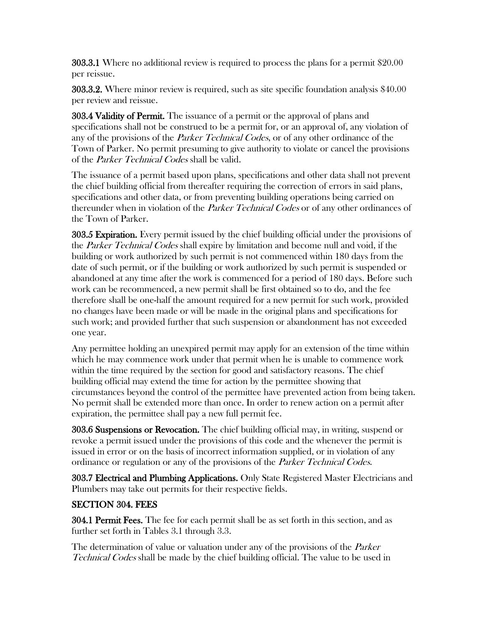303.3.1 Where no additional review is required to process the plans for a permit \$20.00 per reissue.

303.3.2. Where minor review is required, such as site specific foundation analysis \$40.00 per review and reissue.

303.4 Validity of Permit. The issuance of a permit or the approval of plans and specifications shall not be construed to be a permit for, or an approval of, any violation of any of the provisions of the *Parker Technical Codes*, or of any other ordinance of the Town of Parker. No permit presuming to give authority to violate or cancel the provisions of the Parker Technical Codes shall be valid.

The issuance of a permit based upon plans, specifications and other data shall not prevent the chief building official from thereafter requiring the correction of errors in said plans, specifications and other data, or from preventing building operations being carried on thereunder when in violation of the *Parker Technical Codes* or of any other ordinances of the Town of Parker.

303.5 **Expiration.** Every permit issued by the chief building official under the provisions of the *Parker Technical Codes* shall expire by limitation and become null and void, if the building or work authorized by such permit is not commenced within 180 days from the date of such permit, or if the building or work authorized by such permit is suspended or abandoned at any time after the work is commenced for a period of 180 days. Before such work can be recommenced, a new permit shall be first obtained so to do, and the fee therefore shall be one-half the amount required for a new permit for such work, provided no changes have been made or will be made in the original plans and specifications for such work; and provided further that such suspension or abandonment has not exceeded one year.

Any permittee holding an unexpired permit may apply for an extension of the time within which he may commence work under that permit when he is unable to commence work within the time required by the section for good and satisfactory reasons. The chief building official may extend the time for action by the permittee showing that circumstances beyond the control of the permittee have prevented action from being taken. No permit shall be extended more than once. In order to renew action on a permit after expiration, the permittee shall pay a new full permit fee.

303.6 Suspensions or Revocation. The chief building official may, in writing, suspend or revoke a permit issued under the provisions of this code and the whenever the permit is issued in error or on the basis of incorrect information supplied, or in violation of any ordinance or regulation or any of the provisions of the *Parker Technical Codes*.

303.7 Electrical and Plumbing Applications. Only State Registered Master Electricians and Plumbers may take out permits for their respective fields.

# SECTION 304. FEES

**304.1 Permit Fees.** The fee for each permit shall be as set forth in this section, and as further set forth in Tables 3.1 through 3.3.

The determination of value or valuation under any of the provisions of the *Parker* Technical Codes shall be made by the chief building official. The value to be used in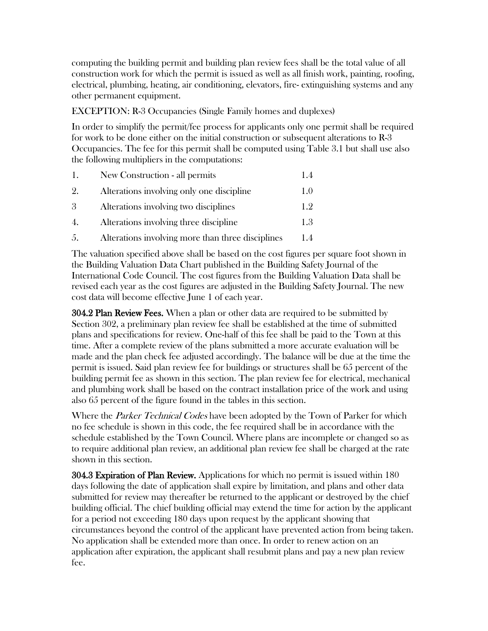computing the building permit and building plan review fees shall be the total value of all construction work for which the permit is issued as well as all finish work, painting, roofing, electrical, plumbing, heating, air conditioning, elevators, fire- extinguishing systems and any other permanent equipment.

EXCEPTION: R-3 Occupancies (Single Family homes and duplexes)

In order to simplify the permit/fee process for applicants only one permit shall be required for work to be done either on the initial construction or subsequent alterations to R-3 Occupancies. The fee for this permit shall be computed using Table 3.1 but shall use also the following multipliers in the computations:

| 1.  | New Construction - all permits                    | 1.4 |
|-----|---------------------------------------------------|-----|
| 2.  | Alterations involving only one discipline         | 1.0 |
| 3   | Alterations involving two disciplines             | 1.9 |
| 4.  | Alterations involving three discipline            | 1.3 |
| .5. | Alterations involving more than three disciplines | 1.4 |

The valuation specified above shall be based on the cost figures per square foot shown in the Building Valuation Data Chart published in the Building Safety Journal of the International Code Council. The cost figures from the Building Valuation Data shall be revised each year as the cost figures are adjusted in the Building Safety Journal. The new cost data will become effective June 1 of each year.

**304.2 Plan Review Fees.** When a plan or other data are required to be submitted by Section 302, a preliminary plan review fee shall be established at the time of submitted plans and specifications for review. One-half of this fee shall be paid to the Town at this time. After a complete review of the plans submitted a more accurate evaluation will be made and the plan check fee adjusted accordingly. The balance will be due at the time the permit is issued. Said plan review fee for buildings or structures shall be 65 percent of the building permit fee as shown in this section. The plan review fee for electrical, mechanical and plumbing work shall be based on the contract installation price of the work and using also 65 percent of the figure found in the tables in this section.

Where the *Parker Technical Codes* have been adopted by the Town of Parker for which no fee schedule is shown in this code, the fee required shall be in accordance with the schedule established by the Town Council. Where plans are incomplete or changed so as to require additional plan review, an additional plan review fee shall be charged at the rate shown in this section.

304.3 Expiration of Plan Review. Applications for which no permit is issued within 180 days following the date of application shall expire by limitation, and plans and other data submitted for review may thereafter be returned to the applicant or destroyed by the chief building official. The chief building official may extend the time for action by the applicant for a period not exceeding 180 days upon request by the applicant showing that circumstances beyond the control of the applicant have prevented action from being taken. No application shall be extended more than once. In order to renew action on an application after expiration, the applicant shall resubmit plans and pay a new plan review fee.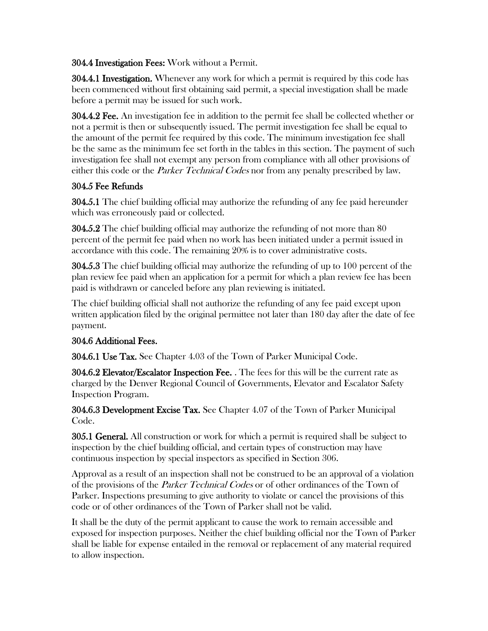304.4 Investigation Fees: Work without a Permit.

304.4.1 Investigation. Whenever any work for which a permit is required by this code has been commenced without first obtaining said permit, a special investigation shall be made before a permit may be issued for such work.

304.4.2 Fee. An investigation fee in addition to the permit fee shall be collected whether or not a permit is then or subsequently issued. The permit investigation fee shall be equal to the amount of the permit fee required by this code. The minimum investigation fee shall be the same as the minimum fee set forth in the tables in this section. The payment of such investigation fee shall not exempt any person from compliance with all other provisions of either this code or the *Parker Technical Codes* nor from any penalty prescribed by law.

# 304.5 Fee Refunds

304.5.1 The chief building official may authorize the refunding of any fee paid hereunder which was erroneously paid or collected.

304.5.2 The chief building official may authorize the refunding of not more than 80 percent of the permit fee paid when no work has been initiated under a permit issued in accordance with this code. The remaining 20% is to cover administrative costs.

304.5.3 The chief building official may authorize the refunding of up to 100 percent of the plan review fee paid when an application for a permit for which a plan review fee has been paid is withdrawn or canceled before any plan reviewing is initiated.

The chief building official shall not authorize the refunding of any fee paid except upon written application filed by the original permittee not later than 180 day after the date of fee payment.

# 304.6 Additional Fees.

304.6.1 Use Tax. See Chapter 4.03 of the Town of Parker Municipal Code.

304.6.2 Elevator/Escalator Inspection Fee. . The fees for this will be the current rate as charged by the Denver Regional Council of Governments, Elevator and Escalator Safety Inspection Program.

304.6.3 Development Excise Tax. See Chapter 4.07 of the Town of Parker Municipal Code.

305.1 General. All construction or work for which a permit is required shall be subject to inspection by the chief building official, and certain types of construction may have continuous inspection by special inspectors as specified in Section 306.

Approval as a result of an inspection shall not be construed to be an approval of a violation of the provisions of the *Parker Technical Codes* or of other ordinances of the Town of Parker. Inspections presuming to give authority to violate or cancel the provisions of this code or of other ordinances of the Town of Parker shall not be valid.

It shall be the duty of the permit applicant to cause the work to remain accessible and exposed for inspection purposes. Neither the chief building official nor the Town of Parker shall be liable for expense entailed in the removal or replacement of any material required to allow inspection.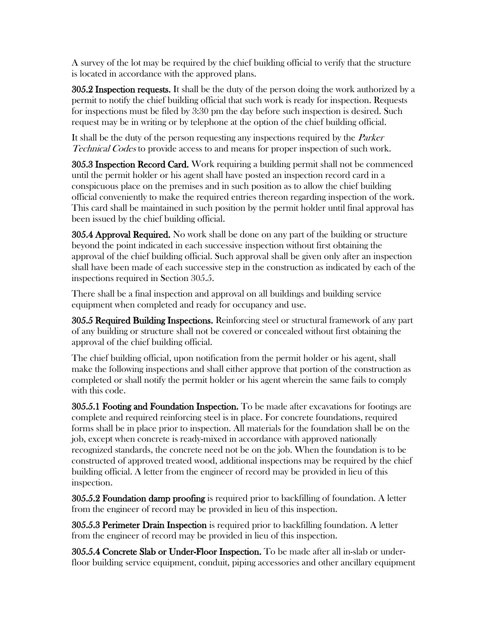A survey of the lot may be required by the chief building official to verify that the structure is located in accordance with the approved plans.

305.2 Inspection requests. It shall be the duty of the person doing the work authorized by a permit to notify the chief building official that such work is ready for inspection. Requests for inspections must be filed by 3:30 pm the day before such inspection is desired. Such request may be in writing or by telephone at the option of the chief building official.

It shall be the duty of the person requesting any inspections required by the *Parker* Technical Codes to provide access to and means for proper inspection of such work.

305.3 Inspection Record Card. Work requiring a building permit shall not be commenced until the permit holder or his agent shall have posted an inspection record card in a conspicuous place on the premises and in such position as to allow the chief building official conveniently to make the required entries thereon regarding inspection of the work. This card shall be maintained in such position by the permit holder until final approval has been issued by the chief building official.

**305.4 Approval Required.** No work shall be done on any part of the building or structure beyond the point indicated in each successive inspection without first obtaining the approval of the chief building official. Such approval shall be given only after an inspection shall have been made of each successive step in the construction as indicated by each of the inspections required in Section 305.5.

There shall be a final inspection and approval on all buildings and building service equipment when completed and ready for occupancy and use.

305.5 Required Building Inspections. Reinforcing steel or structural framework of any part of any building or structure shall not be covered or concealed without first obtaining the approval of the chief building official.

The chief building official, upon notification from the permit holder or his agent, shall make the following inspections and shall either approve that portion of the construction as completed or shall notify the permit holder or his agent wherein the same fails to comply with this code.

305.5.1 Footing and Foundation Inspection. To be made after excavations for footings are complete and required reinforcing steel is in place. For concrete foundations, required forms shall be in place prior to inspection. All materials for the foundation shall be on the job, except when concrete is ready-mixed in accordance with approved nationally recognized standards, the concrete need not be on the job. When the foundation is to be constructed of approved treated wood, additional inspections may be required by the chief building official. A letter from the engineer of record may be provided in lieu of this inspection.

305.5.2 Foundation damp proofing is required prior to backfilling of foundation. A letter from the engineer of record may be provided in lieu of this inspection.

305.5.3 Perimeter Drain Inspection is required prior to backfilling foundation. A letter from the engineer of record may be provided in lieu of this inspection.

305.5.4 Concrete Slab or Under-Floor Inspection. To be made after all in-slab or underfloor building service equipment, conduit, piping accessories and other ancillary equipment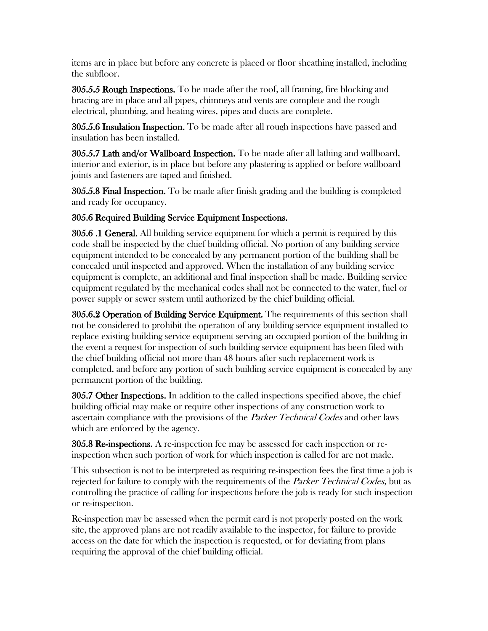items are in place but before any concrete is placed or floor sheathing installed, including the subfloor.

305.5.5 Rough Inspections. To be made after the roof, all framing, fire blocking and bracing are in place and all pipes, chimneys and vents are complete and the rough electrical, plumbing, and heating wires, pipes and ducts are complete.

305.5.6 Insulation Inspection. To be made after all rough inspections have passed and insulation has been installed.

305.5.7 Lath and/or Wallboard Inspection. To be made after all lathing and wallboard, interior and exterior, is in place but before any plastering is applied or before wallboard joints and fasteners are taped and finished.

305.5.8 Final Inspection. To be made after finish grading and the building is completed and ready for occupancy.

## 305.6 Required Building Service Equipment Inspections.

305.6 .1 General. All building service equipment for which a permit is required by this code shall be inspected by the chief building official. No portion of any building service equipment intended to be concealed by any permanent portion of the building shall be concealed until inspected and approved. When the installation of any building service equipment is complete, an additional and final inspection shall be made. Building service equipment regulated by the mechanical codes shall not be connected to the water, fuel or power supply or sewer system until authorized by the chief building official.

305.6.2 Operation of Building Service Equipment. The requirements of this section shall not be considered to prohibit the operation of any building service equipment installed to replace existing building service equipment serving an occupied portion of the building in the event a request for inspection of such building service equipment has been filed with the chief building official not more than 48 hours after such replacement work is completed, and before any portion of such building service equipment is concealed by any permanent portion of the building.

305.7 Other Inspections. In addition to the called inspections specified above, the chief building official may make or require other inspections of any construction work to ascertain compliance with the provisions of the *Parker Technical Codes* and other laws which are enforced by the agency.

 $305.8$  Re-inspections. A re-inspection fee may be assessed for each inspection or reinspection when such portion of work for which inspection is called for are not made.

This subsection is not to be interpreted as requiring re-inspection fees the first time a job is rejected for failure to comply with the requirements of the *Parker Technical Codes*, but as controlling the practice of calling for inspections before the job is ready for such inspection or re-inspection.

Re-inspection may be assessed when the permit card is not properly posted on the work site, the approved plans are not readily available to the inspector, for failure to provide access on the date for which the inspection is requested, or for deviating from plans requiring the approval of the chief building official.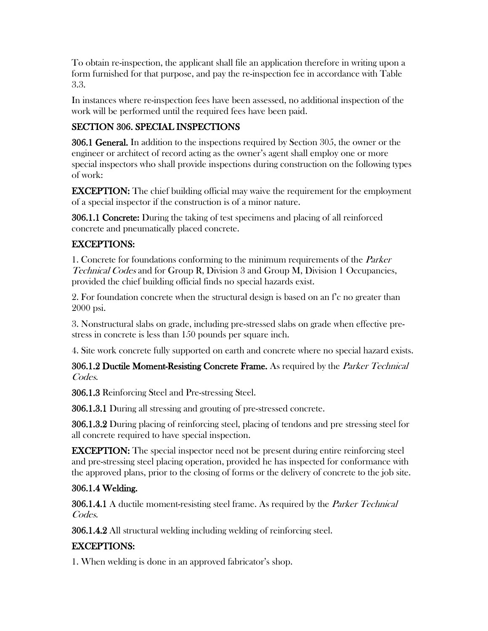To obtain re-inspection, the applicant shall file an application therefore in writing upon a form furnished for that purpose, and pay the re-inspection fee in accordance with Table 3.3.

In instances where re-inspection fees have been assessed, no additional inspection of the work will be performed until the required fees have been paid.

# SECTION 306. SPECIAL INSPECTIONS

306.1 General. In addition to the inspections required by Section 305, the owner or the engineer or architect of record acting as the owner's agent shall employ one or more special inspectors who shall provide inspections during construction on the following types of work:

EXCEPTION: The chief building official may waive the requirement for the employment of a special inspector if the construction is of a minor nature.

306.1.1 Concrete: During the taking of test specimens and placing of all reinforced concrete and pneumatically placed concrete.

## EXCEPTIONS:

1. Concrete for foundations conforming to the minimum requirements of the *Parker* Technical Codes and for Group R, Division 3 and Group M, Division 1 Occupancies, provided the chief building official finds no special hazards exist.

2. For foundation concrete when the structural design is based on an f'c no greater than 2000 psi.

3. Nonstructural slabs on grade, including pre-stressed slabs on grade when effective prestress in concrete is less than 150 pounds per square inch.

4. Site work concrete fully supported on earth and concrete where no special hazard exists.

**306.1.2 Ductile Moment-Resisting Concrete Frame.** As required by the *Parker Technical* Codes.

306.1.3 Reinforcing Steel and Pre-stressing Steel.

306.1.3.1 During all stressing and grouting of pre-stressed concrete.

306.1.3.2 During placing of reinforcing steel, placing of tendons and pre stressing steel for all concrete required to have special inspection.

EXCEPTION: The special inspector need not be present during entire reinforcing steel and pre-stressing steel placing operation, provided he has inspected for conformance with the approved plans, prior to the closing of forms or the delivery of concrete to the job site.

# 306.1.4 Welding.

306.1.4.1 A ductile moment-resisting steel frame. As required by the *Parker Technical* Codes.

306.1.4.2 All structural welding including welding of reinforcing steel.

# EXCEPTIONS:

1. When welding is done in an approved fabricator's shop.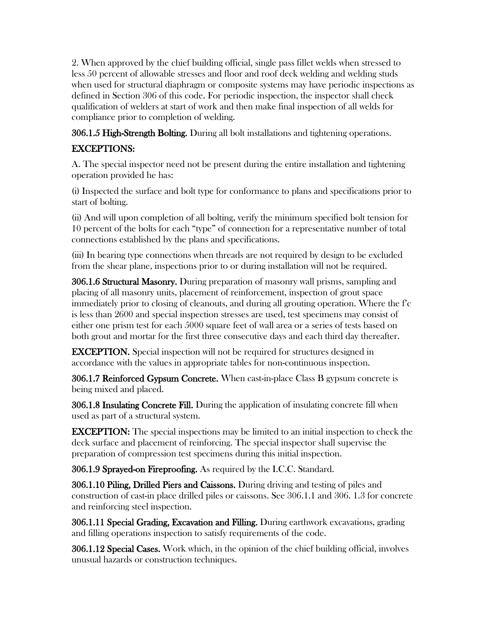2. When approved by the chief building official, single pass fillet welds when stressed to less 50 percent of allowable stresses and floor and roof deck welding and welding studs when used for structural diaphragm or composite systems may have periodic inspections as defined in Section 306 of this code. For periodic inspection, the inspector shall check qualification of welders at start of work and then make final inspection of all welds for compliance prior to completion of welding.

306.1.5 High-Strength Bolting. During all bolt installations and tightening operations.

# EXCEPTIONS:

A. The special inspector need not be present during the entire installation and tightening operation provided he has:

(i) Inspected the surface and bolt type for conformance to plans and specifications prior to start of bolting.

(ii) And will upon completion of all bolting, verify the minimum specified bolt tension for 10 percent of the bolts for each "type" of connection for a representative number of total connections established by the plans and specifications.

(iii) In bearing type connections when threads are not required by design to be excluded from the shear plane, inspections prior to or during installation will not be required.

306.1.6 Structural Masonry. During preparation of masonry wall prisms, sampling and placing of all masonry units, placement of reinforcement, inspection of grout space immediately prior to closing of cleanouts, and during all grouting operation. Where the f'c is less than 2600 and special inspection stresses are used, test specimens may consist of either one prism test for each 5000 square feet of wall area or a series of tests based on both grout and mortar for the first three consecutive days and each third day thereafter.

EXCEPTION. Special inspection will not be required for structures designed in accordance with the values in appropriate tables for non-continuous inspection.

306.1.7 Reinforced Gypsum Concrete. When cast-in-place Class B gypsum concrete is being mixed and placed.

306.1.8 Insulating Concrete Fill. During the application of insulating concrete fill when used as part of a structural system.

EXCEPTION: The special inspections may be limited to an initial inspection to check the deck surface and placement of reinforcing. The special inspector shall supervise the preparation of compression test specimens during this initial inspection.

306.1.9 Sprayed-on Fireproofing. As required by the I.C.C. Standard.

306.1.10 Piling, Drilled Piers and Caissons. During driving and testing of piles and construction of cast-in place drilled piles or caissons. See 306.1.1 and 306. 1.3 for concrete and reinforcing steel inspection.

306.1.11 Special Grading, Excavation and Filling. During earthwork excavations, grading and filling operations inspection to satisfy requirements of the code.

306.1.12 Special Cases. Work which, in the opinion of the chief building official, involves unusual hazards or construction techniques.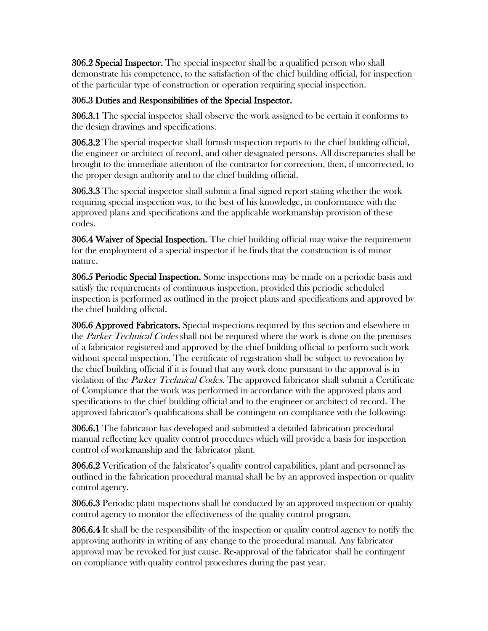306.2 Special Inspector. The special inspector shall be a qualified person who shall demonstrate his competence, to the satisfaction of the chief building official, for inspection of the particular type of construction or operation requiring special inspection.

# 306.3 Duties and Responsibilities of the Special Inspector.

306.3.1 The special inspector shall observe the work assigned to be certain it conforms to the design drawings and specifications.

306.3.2 The special inspector shall furnish inspection reports to the chief building official, the engineer or architect of record, and other designated persons. All discrepancies shall be brought to the immediate attention of the contractor for correction, then, if uncorrected, to the proper design authority and to the chief building official.

306.3.3 The special inspector shall submit a final signed report stating whether the work requiring special inspection was, to the best of his knowledge, in conformance with the approved plans and specifications and the applicable workmanship provision of these codes.

306.4 Waiver of Special Inspection. The chief building official may waive the requirement for the employment of a special inspector if he finds that the construction is of minor nature.

306.5 Periodic Special Inspection. Some inspections may be made on a periodic basis and satisfy the requirements of continuous inspection, provided this periodic scheduled inspection is performed as outlined in the project plans and specifications and approved by the chief building official.

306.6 Approved Fabricators. Special inspections required by this section and elsewhere in the *Parker Technical Codes* shall not be required where the work is done on the premises of a fabricator registered and approved by the chief building official to perform such work without special inspection. The certificate of registration shall be subject to revocation by the chief building official if it is found that any work done pursuant to the approval is in violation of the *Parker Technical Codes*. The approved fabricator shall submit a Certificate of Compliance that the work was performed in accordance with the approved plans and specifications to the chief building official and to the engineer or architect of record. The approved fabricator's qualifications shall be contingent on compliance with the following:

306.6.1 The fabricator has developed and submitted a detailed fabrication procedural manual reflecting key quality control procedures which will provide a basis for inspection control of workmanship and the fabricator plant.

306.6.2 Verification of the fabricator's quality control capabilities, plant and personnel as outlined in the fabrication procedural manual shall be by an approved inspection or quality control agency.

306.6.3 Periodic plant inspections shall be conducted by an approved inspection or quality control agency to monitor the effectiveness of the quality control program.

306.6.4 It shall be the responsibility of the inspection or quality control agency to notify the approving authority in writing of any change to the procedural manual. Any fabricator approval may be revoked for just cause. Re-approval of the fabricator shall be contingent on compliance with quality control procedures during the past year.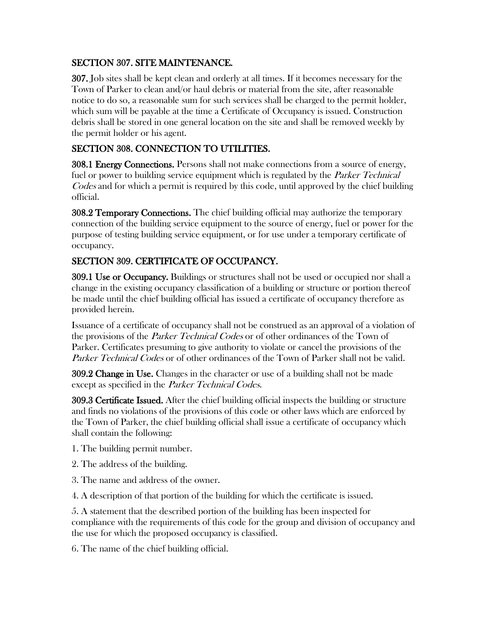## SECTION 307. SITE MAINTENANCE.

307. Job sites shall be kept clean and orderly at all times. If it becomes necessary for the Town of Parker to clean and/or haul debris or material from the site, after reasonable notice to do so, a reasonable sum for such services shall be charged to the permit holder, which sum will be payable at the time a Certificate of Occupancy is issued. Construction debris shall be stored in one general location on the site and shall be removed weekly by the permit holder or his agent.

# SECTION 308. CONNECTION TO UTILITIES.

308.1 Energy Connections. Persons shall not make connections from a source of energy, fuel or power to building service equipment which is regulated by the *Parker Technical* Codes and for which a permit is required by this code, until approved by the chief building official.

308.2 Temporary Connections. The chief building official may authorize the temporary connection of the building service equipment to the source of energy, fuel or power for the purpose of testing building service equipment, or for use under a temporary certificate of occupancy.

# SECTION 309. CERTIFICATE OF OCCUPANCY.

309.1 Use or Occupancy. Buildings or structures shall not be used or occupied nor shall a change in the existing occupancy classification of a building or structure or portion thereof be made until the chief building official has issued a certificate of occupancy therefore as provided herein.

Issuance of a certificate of occupancy shall not be construed as an approval of a violation of the provisions of the *Parker Technical Codes* or of other ordinances of the Town of Parker. Certificates presuming to give authority to violate or cancel the provisions of the Parker Technical Codes or of other ordinances of the Town of Parker shall not be valid.

309.2 Change in Use. Changes in the character or use of a building shall not be made except as specified in the *Parker Technical Codes*.

309.3 Certificate Issued. After the chief building official inspects the building or structure and finds no violations of the provisions of this code or other laws which are enforced by the Town of Parker, the chief building official shall issue a certificate of occupancy which shall contain the following:

1. The building permit number.

2. The address of the building.

3. The name and address of the owner.

4. A description of that portion of the building for which the certificate is issued.

5. A statement that the described portion of the building has been inspected for compliance with the requirements of this code for the group and division of occupancy and the use for which the proposed occupancy is classified.

6. The name of the chief building official.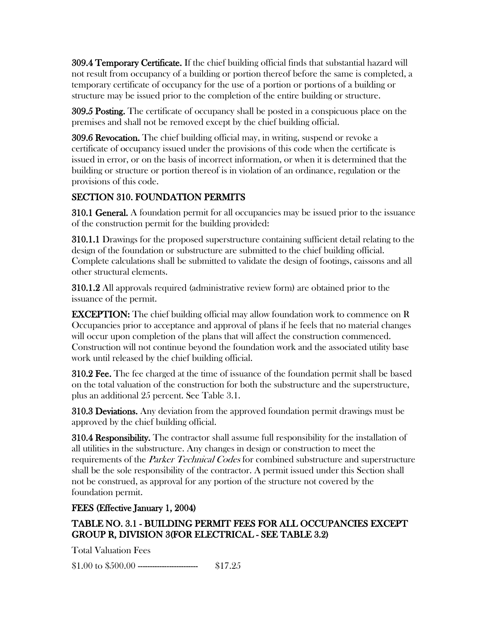309.4 Temporary Certificate. If the chief building official finds that substantial hazard will not result from occupancy of a building or portion thereof before the same is completed, a temporary certificate of occupancy for the use of a portion or portions of a building or structure may be issued prior to the completion of the entire building or structure.

309.5 Posting. The certificate of occupancy shall be posted in a conspicuous place on the premises and shall not be removed except by the chief building official.

309.6 Revocation. The chief building official may, in writing, suspend or revoke a certificate of occupancy issued under the provisions of this code when the certificate is issued in error, or on the basis of incorrect information, or when it is determined that the building or structure or portion thereof is in violation of an ordinance, regulation or the provisions of this code.

# SECTION 310. FOUNDATION PERMITS

310.1 General. A foundation permit for all occupancies may be issued prior to the issuance of the construction permit for the building provided:

310.1.1 Drawings for the proposed superstructure containing sufficient detail relating to the design of the foundation or substructure are submitted to the chief building official. Complete calculations shall be submitted to validate the design of footings, caissons and all other structural elements.

310.1.2 All approvals required (administrative review form) are obtained prior to the issuance of the permit.

**EXCEPTION:** The chief building official may allow foundation work to commence on R Occupancies prior to acceptance and approval of plans if he feels that no material changes will occur upon completion of the plans that will affect the construction commenced. Construction will not continue beyond the foundation work and the associated utility base work until released by the chief building official.

**310.2 Fee.** The fee charged at the time of issuance of the foundation permit shall be based on the total valuation of the construction for both the substructure and the superstructure, plus an additional 25 percent. See Table 3.1.

310.3 Deviations. Any deviation from the approved foundation permit drawings must be approved by the chief building official.

310.4 Responsibility. The contractor shall assume full responsibility for the installation of all utilities in the substructure. Any changes in design or construction to meet the requirements of the *Parker Technical Codes* for combined substructure and superstructure shall be the sole responsibility of the contractor. A permit issued under this Section shall not be construed, as approval for any portion of the structure not covered by the foundation permit.

## FEES (Effective January 1, 2004)

# TABLE NO. 3.1 - BUILDING PERMIT FEES FOR ALL OCCUPANCIES EXCEPT GROUP R, DIVISION 3(FOR ELECTRICAL - SEE TABLE 3.2)

Total Valuation Fees

\$1.00 to \$500.00 ------------------------- \$17.25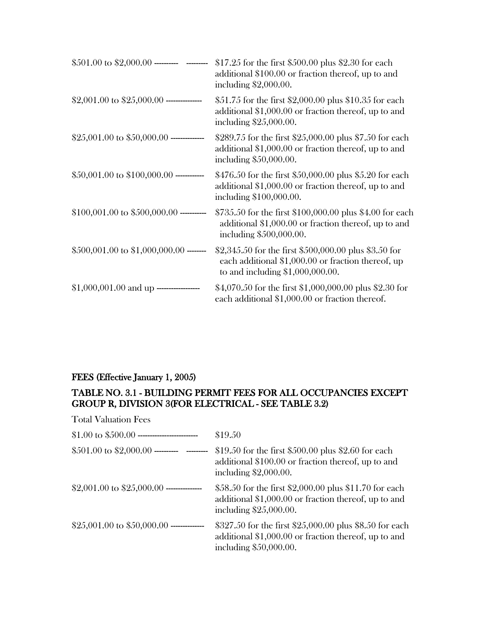| \$501.00 to \$2,000.00 ---------- --------- | \$17.25 for the first \$500.00 plus \$2.30 for each<br>additional \$100.00 or fraction thereof, up to and<br>including $$2,000.00$ .              |
|---------------------------------------------|---------------------------------------------------------------------------------------------------------------------------------------------------|
|                                             | \$51.75 for the first \$2,000.00 plus \$10.35 for each<br>additional $$1,000.00$ or fraction thereof, up to and<br>including \$25,000.00.         |
| \$25,001.00 to \$50,000.00 --------------   | \$289.75 for the first \$25,000.00 plus \$7.50 for each<br>additional \$1,000.00 or fraction thereof, up to and<br>including \$50,000.00.         |
| $$50,001.00$ to $$100,000.00$ -----------   | \$476.50 for the first \$50,000.00 plus \$5.20 for each<br>additional $$1,000.00$ or fraction thereof, up to and<br>including \$100,000.00.       |
| $$100,001.00$ to $$500,000.00$ ----------   | \$735.50 for the first \$100,000.00 plus \$4.00 for each<br>additional $$1,000.00$ or fraction thereof, up to and<br>including \$500,000.00.      |
| $$500,001.00$ to $$1,000,000.00$ -------    | \$2,345.50 for the first \$500,000.00 plus \$3.50 for<br>each additional \$1,000.00 or fraction thereof, up<br>to and including $$1,000,000.00$ . |
| $$1,000,001.00$ and up --------------       | \$4,070.50 for the first \$1,000,000.00 plus \$2.30 for<br>each additional \$1,000.00 or fraction thereof.                                        |

## FEES (Effective January 1, 2005)

## TABLE NO. 3.1 - BUILDING PERMIT FEES FOR ALL OCCUPANCIES EXCEPT GROUP R, DIVISION 3(FOR ELECTRICAL - SEE TABLE 3.2)

Total Valuation Fees

|                                            | \$19.50                                                                                                                                   |
|--------------------------------------------|-------------------------------------------------------------------------------------------------------------------------------------------|
| \$501.00 to \$2,000.00 ----------          | \$19.50 for the first \$500.00 plus \$2.60 for each<br>additional \$100.00 or fraction thereof, up to and<br>including $$2,000.00$ .      |
|                                            | \$58.50 for the first \$2,000.00 plus \$11.70 for each<br>additional \$1,000.00 or fraction thereof, up to and<br>including \$25,000.00.  |
| \$25,001.00 to \$50,000.00 --------------- | \$327.50 for the first \$25,000.00 plus \$8.50 for each<br>additional \$1,000.00 or fraction thereof, up to and<br>including \$50,000.00. |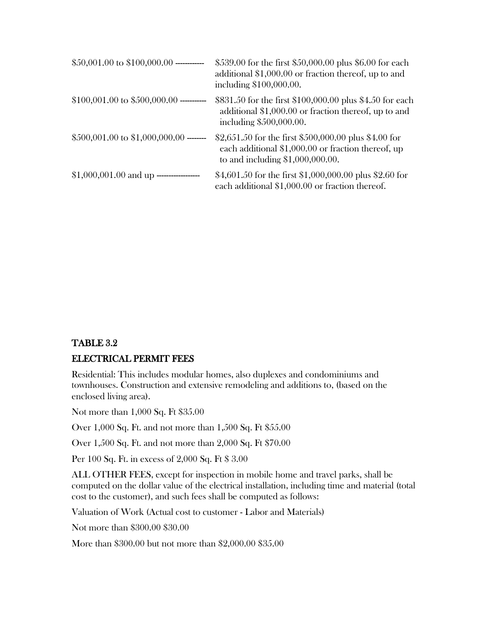| $$50,001.00$ to $$100,000.00$ ----------- | \$539.00 for the first \$50,000.00 plus \$6.00 for each<br>additional \$1,000.00 or fraction thereof, up to and<br>including \$100,000.00.         |
|-------------------------------------------|----------------------------------------------------------------------------------------------------------------------------------------------------|
| $$100,001.00$ to $$500,000.00$ ---------- | \$831.50 for the first \$100,000.00 plus \$4.50 for each<br>additional $$1,000.00$ or fraction thereof, up to and<br>including \$500,000.00.       |
| $$500,001.00$ to $$1,000,000.00$ -------  | \$2,651.50 for the first \$500,000.00 plus \$4.00 for<br>each additional $$1,000.00$ or fraction thereof, up<br>to and including $$1,000,000.00$ . |
|                                           | \$4,601.50 for the first \$1,000,000.00 plus \$2.60 for<br>each additional \$1,000.00 or fraction thereof.                                         |

# TABLE 3.2 ELECTRICAL PERMIT FEES

Residential: This includes modular homes, also duplexes and condominiums and townhouses. Construction and extensive remodeling and additions to, (based on the enclosed living area).

Not more than 1,000 Sq. Ft \$35.00

Over 1,000 Sq. Ft. and not more than 1,500 Sq. Ft \$55.00

Over 1,500 Sq. Ft. and not more than 2,000 Sq. Ft \$70.00

Per 100 Sq. Ft. in excess of 2,000 Sq. Ft \$ 3.00

ALL OTHER FEES, except for inspection in mobile home and travel parks, shall be computed on the dollar value of the electrical installation, including time and material (total cost to the customer), and such fees shall be computed as follows:

Valuation of Work (Actual cost to customer - Labor and Materials)

Not more than \$300.00 \$30.00

More than \$300.00 but not more than \$2,000.00 \$35.00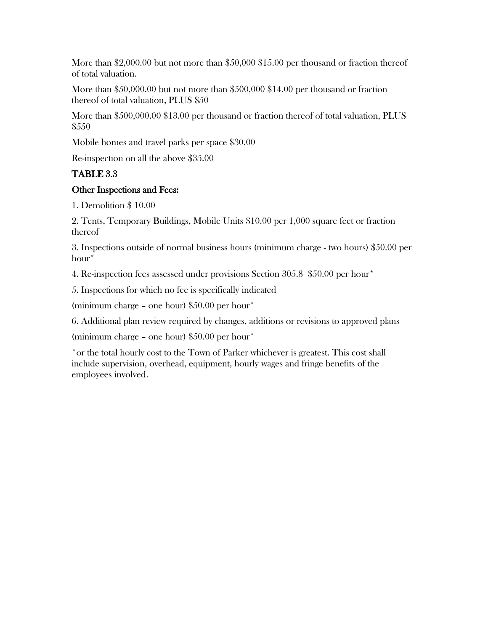More than \$2,000.00 but not more than \$50,000 \$15.00 per thousand or fraction thereof of total valuation.

More than \$50,000.00 but not more than \$500,000 \$14.00 per thousand or fraction thereof of total valuation, PLUS \$50

More than \$500,000.00 \$13.00 per thousand or fraction thereof of total valuation, PLUS \$550

Mobile homes and travel parks per space \$30.00

Re-inspection on all the above \$35.00

## TABLE 3.3

## Other Inspections and Fees:

1. Demolition \$ 10.00

2. Tents, Temporary Buildings, Mobile Units \$10.00 per 1,000 square feet or fraction thereof

3. Inspections outside of normal business hours (minimum charge - two hours) \$50.00 per hour\*

4. Re-inspection fees assessed under provisions Section 305.8 \$50.00 per hour\*

5. Inspections for which no fee is specifically indicated

(minimum charge – one hour) \$50.00 per hour\*

6. Additional plan review required by changes, additions or revisions to approved plans

(minimum charge – one hour) \$50.00 per hour\*

\*or the total hourly cost to the Town of Parker whichever is greatest. This cost shall include supervision, overhead, equipment, hourly wages and fringe benefits of the employees involved.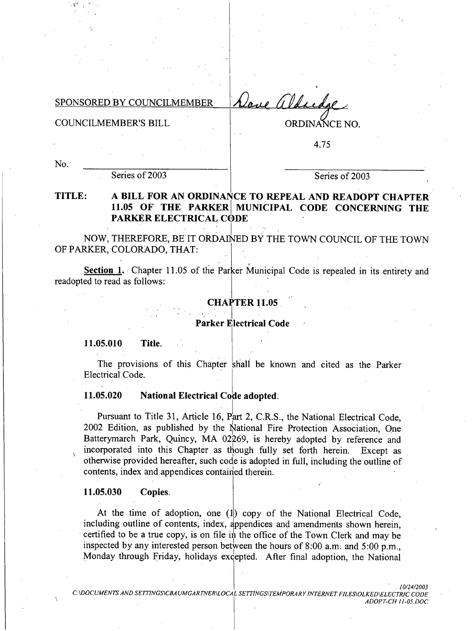Nave aldredge SPONSORED BY COUNCILMEMBER

**COUNCILMEMBER'S BILL** 

ORDINANCE NO.

4.75

No.

Series of 2003

Series of 2003

### TITLE: A BILL FOR AN ORDINANCE TO REPEAL AND READOPT CHAPTER 11.05 OF THE PARKER MUNICIPAL CODE CONCERNING THE **PARKER ELECTRICAL CODE**

NOW, THEREFORE, BE IT ORDAINED BY THE TOWN COUNCIL OF THE TOWN OF PARKER, COLORADO, THAT:

Section 1. Chapter 11.05 of the Parker Municipal Code is repealed in its entirety and readopted to read as follows:

### **CHAPTER 11.05**

Parker Electrical Code

11.05.010 Title.

The provisions of this Chapter shall be known and cited as the Parker **Electrical Code.** 

#### 11.05.020 **National Electrical Code adopted.**

Pursuant to Title 31, Article 16, Part 2, C.R.S., the National Electrical Code, 2002 Edition, as published by the National Fire Protection Association. One Batterymarch Park, Quincy, MA 02269, is hereby adopted by reference and incorporated into this Chapter as though fully set forth herein. Except as otherwise provided hereafter, such code is adopted in full, including the outline of contents, index and appendices contained therein.

#### 11.05.030 Copies.

At the time of adoption, one (1) copy of the National Electrical Code, including outline of contents, index, appendices and amendments shown herein, certified to be a true copy, is on file in the office of the Town Clerk and may be inspected by any interested person between the hours of 8:00 a.m. and 5:00 p.m., Monday through Friday, holidays excepted. After final adoption, the National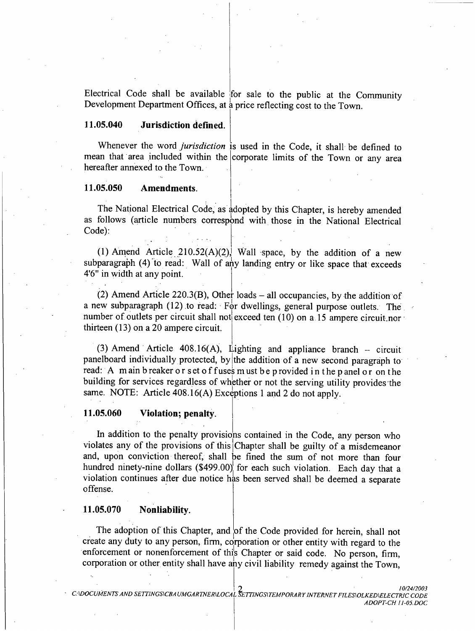Electrical Code shall be available for sale to the public at the Community Development Department Offices, at a price reflecting cost to the Town.

#### 11.05.040 **Jurisdiction defined.**

Whenever the word jurisdiction is used in the Code, it shall be defined to mean that area included within the corporate limits of the Town or any area hereafter annexed to the Town.

#### 11.05.050 Amendments.

The National Electrical Code, as adopted by this Chapter, is hereby amended as follows (article numbers correspond with those in the National Electrical Code):

(1) Amend Article  $210.52(A)(2)$ , Wall space, by the addition of a new subparagraph (4) to read: Wall of any landing entry or like space that exceeds 4'6" in width at any point.

(2) Amend Article 220.3(B), Other loads – all occupancies, by the addition of a new subparagraph  $(12)$  to read: For dwellings, general purpose outlets. The number of outlets per circuit shall not exceed ten (10) on a 15 ampere circuit nor thirteen (13) on a 20 ampere circuit.

(3) Amend Article  $408.16(A)$ , Lighting and appliance branch – circuit panelboard individually protected, by the addition of a new second paragraph to read: A main b reaker or set of fuses must be provided in the panel or on the building for services regardless of whether or not the serving utility provides the same. NOTE: Article 408.16(A) Exceptions 1 and 2 do not apply.

#### 11.05.060 Violation; penalty.

In addition to the penalty provisions contained in the Code, any person who violates any of the provisions of this Chapter shall be guilty of a misdemeanor and, upon conviction thereof, shall be fined the sum of not more than four hundred ninety-nine dollars (\$499.00) for each such violation. Each day that a violation continues after due notice has been served shall be deemed a separate offense.

#### 11.05.070 Nonliability.

The adoption of this Chapter, and of the Code provided for herein, shall not create any duty to any person, firm, corporation or other entity with regard to the enforcement or nonenforcement of this Chapter or said code. No person, firm, corporation or other entity shall have any civil liability remedy against the Town.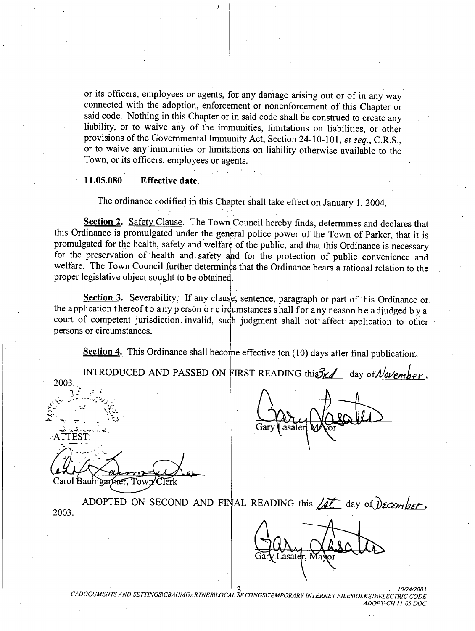or its officers, employees or agents, for any damage arising out or of in any way connected with the adoption, enforcement or nonenforcement of this Chapter or said code. Nothing in this Chapter or in said code shall be construed to create any liability, or to waive any of the immunities, limitations on liabilities, or other provisions of the Governmental Immunity Act, Section 24-10-101, et seq., C.R.S., or to waive any immunities or limitations on liability otherwise available to the Town, or its officers, employees or agents.

#### 11.05.080 **Effective date.**

The ordinance codified in this Chapter shall take effect on January 1, 2004.

Section 2. Safety Clause. The Town Council hereby finds, determines and declares that this Ordinance is promulgated under the general police power of the Town of Parker, that it is promulgated for the health, safety and welfare of the public, and that this Ordinance is necessary for the preservation of health and safety and for the protection of public convenience and welfare. The Town Council further determines that the Ordinance bears a rational relation to the proper legislative object sought to be obtained.

Section 3. Severability. If any clause, sentence, paragraph or part of this Ordinance or the application thereof to any person or c ircumstances shall for any reason be adjudged by a court of competent jurisdiction invalid, such judgment shall not affect application to other persons or circumstances.

Section 4. This Ordinance shall become effective ten  $(10)$  days after final publication.

INTRODUCED AND PASSED ON FIRST READING this  $\mathcal{H}$  day of November. 2003.  $\mathcal{A}$   $\mathcal{T} \mathcal{T} \mathcal{E} \mathcal{S} \mathcal{T}$ Carol Baumgartner, Town ADOPTED ON SECOND AND FINAL READING this  $\sqrt{at}$  day of December, 2003.

C:\DOCUMENTS AND SETTINGS\CBAUMGARTNER\LOCAL SETTINGS\TEMPORARY INTERNET FILES\OLKED\ELECTRIC CODE ADOPT-CH 11-05.DOC

asateir. Ma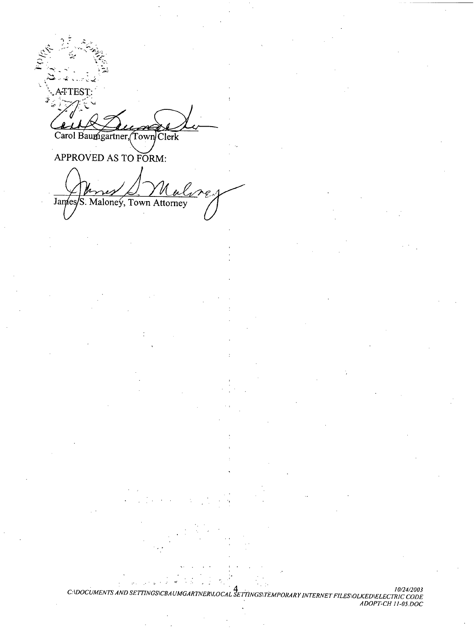TTEST: Carol Baumgartner, Town Clerk

APPROVED AS TO FORM:

James S. Maloneý, Town Attorney

10/24/2003<br>GARTNER\LOCAL SETTINGS\TEMPORARY INTERNET FILES\OLKED\ELECTRIC CODE<br>ADOPT-CH 11-05.DOC C.IDOCUMENTS AND SETTINGSICB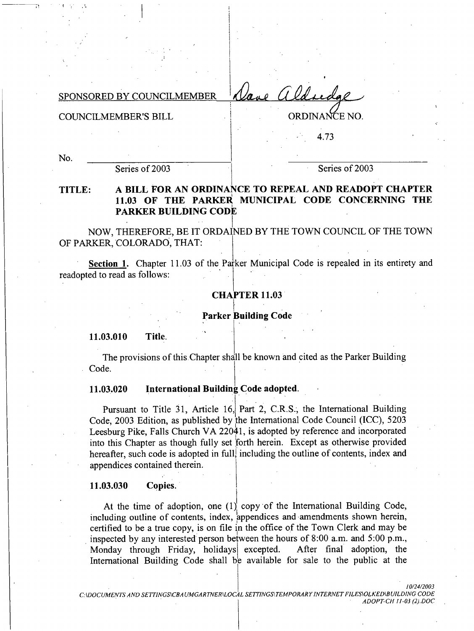Vane aldredge SPONSORED BY COUNCILMEMBER

**COUNCILMEMBER'S BILL** 

ORDINANCE NO.

4.73

No.

Series of 2003

Series of 2003

### A BILL FOR AN ORDINANCE TO REPEAL AND READOPT CHAPTER TITLE: 11.03 OF THE PARKER MUNICIPAL CODE CONCERNING THE **PARKER BUILDING CODE**

NOW, THEREFORE, BE IT ORDAINED BY THE TOWN COUNCIL OF THE TOWN OF PARKER, COLORADO, THAT:

Section 1. Chapter 11.03 of the Parker Municipal Code is repealed in its entirety and readopted to read as follows:

## **CHAPTER 11.03**

### **Parker Building Code**

11.03.010 Title.

The provisions of this Chapter shall be known and cited as the Parker Building Code.

#### International Building Code adopted. 11.03.020

Pursuant to Title 31, Article 16, Part 2, C.R.S., the International Building Code, 2003 Edition, as published by the International Code Council (ICC), 5203 Leesburg Pike, Falls Church VA 22041, is adopted by reference and incorporated into this Chapter as though fully set forth herein. Except as otherwise provided hereafter, such code is adopted in full, including the outline of contents, index and appendices contained therein.

#### 11.03.030 Copies.

At the time of adoption, one  $(1)$  copy of the International Building Code, including outline of contents, index, appendices and amendments shown herein, certified to be a true copy, is on file in the office of the Town Clerk and may be inspected by any interested person between the hours of 8:00 a.m. and 5:00 p.m., Monday through Friday, holidays excepted. After final adoption, the International Building Code shall be available for sale to the public at the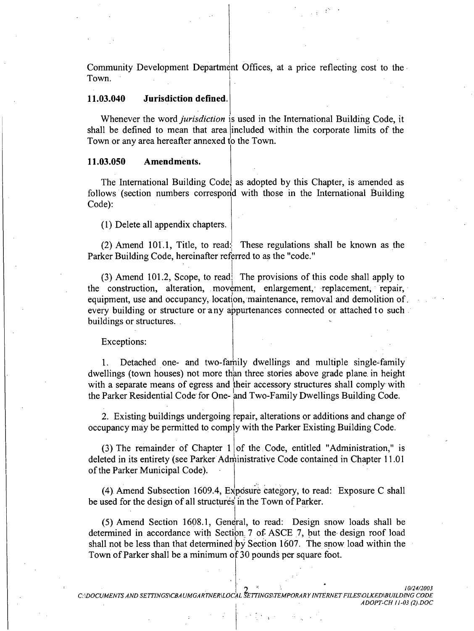Community Development Department Offices, at a price reflecting cost to the Town.

#### 11.03.040 Jurisdiction defined.

Whenever the word *jurisdiction* is used in the International Building Code, it shall be defined to mean that area included within the corporate limits of the Town or any area hereafter annexed to the Town.

#### 11.03.050 Amendments.

The International Building Code, as adopted by this Chapter, is amended as follows (section numbers correspond with those in the International Building Code):

(1) Delete all appendix chapters.

(2) Amend 101.1, Title, to read: These regulations shall be known as the Parker Building Code, hereinafter referred to as the "code."

(3) Amend 101.2, Scope, to read: The provisions of this code shall apply to the construction, alteration, movement, enlargement, replacement, repair, equipment, use and occupancy, location, maintenance, removal and demolition of. every building or structure or any appurtenances connected or attached to such. buildings or structures.

Exceptions:

 $1_{-}$ Detached one- and two-family dwellings and multiple single-family dwellings (town houses) not more than three stories above grade plane in height with a separate means of egress and their accessory structures shall comply with the Parker Residential Code for One- and Two-Family Dwellings Building Code.

2. Existing buildings undergoing repair, alterations or additions and change of occupancy may be permitted to comply with the Parker Existing Building Code.

(3) The remainder of Chapter  $1 \mid$  of the Code, entitled "Administration," is deleted in its entirety (see Parker Administrative Code contained in Chapter 11.01 of the Parker Municipal Code).

(4) Amend Subsection 1609.4, Exposure category, to read: Exposure C shall be used for the design of all structures in the Town of Parker.

(5) Amend Section 1608.1, General, to read: Design snow loads shall be determined in accordance with Section 7 of ASCE 7, but the design roof load shall not be less than that determined by Section 1607. The snow load within the Town of Parker shall be a minimum of 30 pounds per square foot.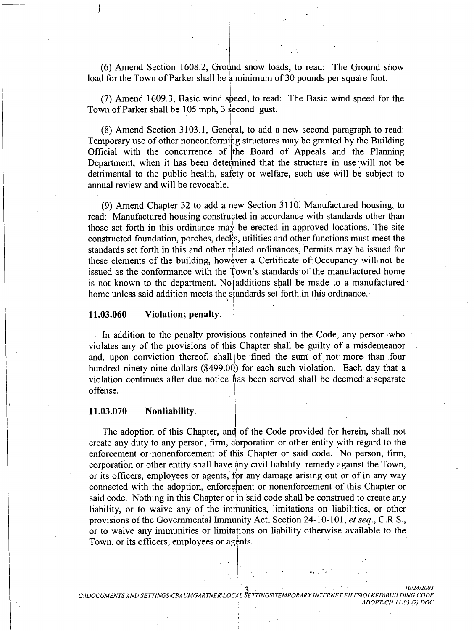(6) Amend Section 1608.2, Ground snow loads, to read: The Ground snow load for the Town of Parker shall be a minimum of 30 pounds per square foot.

(7) Amend 1609.3, Basic wind speed, to read: The Basic wind speed for the Town of Parker shall be 105 mph, 3 second gust.

(8) Amend Section 3103.1, General, to add a new second paragraph to read: Temporary use of other nonconforming structures may be granted by the Building Official with the concurrence of the Board of Appeals and the Planning Department, when it has been determined that the structure in use will not be detrimental to the public health, safety or welfare, such use will be subject to annual review and will be revocable.

(9) Amend Chapter 32 to add a new Section 3110, Manufactured housing, to read: Manufactured housing constructed in accordance with standards other than those set forth in this ordinance may be erected in approved locations. The site constructed foundation, porches, decks, utilities and other functions must meet the standards set forth in this and other related ordinances, Permits may be issued for these elements of the building, however a Certificate of Occupancy will not be issued as the conformance with the Town's standards of the manufactured home. is not known to the department. No additions shall be made to a manufactured. home unless said addition meets the standards set forth in this ordinance.

#### 11.03.060 Violation; penalty.

In addition to the penalty provisions contained in the Code, any person who violates any of the provisions of this Chapter shall be guilty of a misdemeanor and, upon conviction thereof, shall be fined the sum of not more than four hundred ninety-nine dollars (\$499.00) for each such violation. Each day that a violation continues after due notice has been served shall be deemed a separate. offense.

#### 11.03.070 Nonliability.

The adoption of this Chapter, and of the Code provided for herein, shall not create any duty to any person, firm, corporation or other entity with regard to the enforcement or nonenforcement of this Chapter or said code. No person, firm, corporation or other entity shall have any civil liability remedy against the Town, or its officers, employees or agents, for any damage arising out or of in any way connected with the adoption, enforcement or nonenforcement of this Chapter or said code. Nothing in this Chapter or in said code shall be construed to create any liability, or to waive any of the immunities, limitations on liabilities, or other provisions of the Governmental Immunity Act, Section 24-10-101, et seq., C.R.S., or to waive any immunities or limitations on liability otherwise available to the Town, or its officers, employees or agents.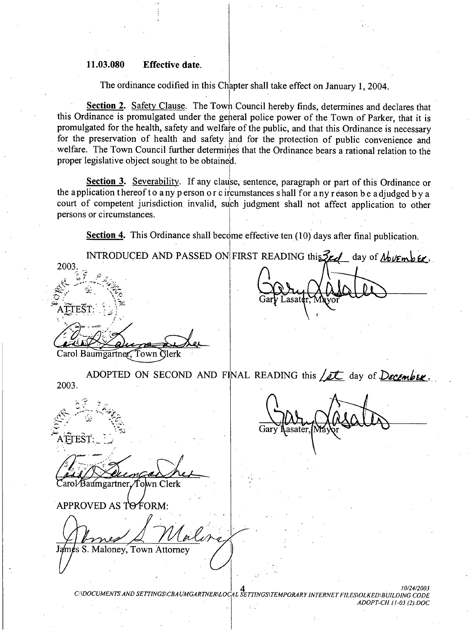#### 11.03.080 **Effective date.**

The ordinance codified in this Chapter shall take effect on January 1, 2004.

**Section 2.** Safety Clause. The Town Council hereby finds, determines and declares that this Ordinance is promulgated under the general police power of the Town of Parker, that it is promulgated for the health, safety and welfare of the public, and that this Ordinance is necessary for the preservation of health and safety and for the protection of public convenience and welfare. The Town Council further determines that the Ordinance bears a rational relation to the proper legislative object sought to be obtained.

Section 3. Severability. If any clause, sentence, paragraph or part of this Ordinance or the application thereof to any person or c ircumstances shall for any reason be adjudged by a court of competent jurisdiction invalid, such judgment shall not affect application to other persons or circumstances.

Section 4. This Ordinance shall become effective ten (10) days after final publication.

INTRODUCED AND PASSED ON FIRST READING this  $\frac{2\epsilon d}{\epsilon}$  day of *November*. 2003. ŤFŠŤ Carol Baumgartner, Town Clerk

ADOPTED ON SECOND AND FINAL READING this  $\sqrt{\mathcal{I}t}$  day of December. 2003.

arol/Baumgartner./Town Clerk

APPROVED AS TO FORM:

ATTEST:

James S. Maloney, Town Attorney

C:\DOCUMENTS AND SETTINGS\CBAUMGARTNER\LOCAL SETTINGS\TEMPORARY INTERNET FILES\OLKED\BUILDING CODE ADOPT-CH 11-03 (2).DOC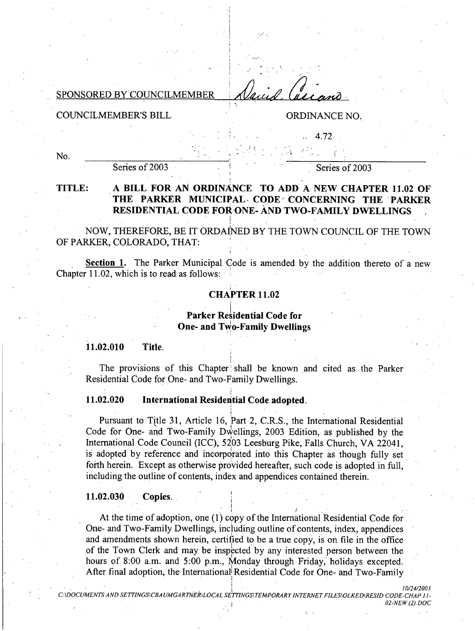### SPONSORED BY COUNCILMEMBER

### **COUNCILMEMBER'S BILL**

## ORDINANCE NO.

4.72

No.

Series of 2003

Series of 2003

### TITLE: A BILL FOR AN ORDINANCE TO ADD A NEW CHAPTER 11.02 OF THE PARKER MUNICIPAL CODE CONCERNING THE PARKER RESIDENTIAL CODE FOR ONE- AND TWO-FAMILY DWELLINGS

NOW, THEREFORE, BE IT ORDAINED BY THE TOWN COUNCIL OF THE TOWN OF PARKER, COLORADO, THAT:

Section 1. The Parker Municipal Code is amended by the addition thereto of a new Chapter 11.02, which is to read as follows:

## **CHAPTER 11.02**

**Parker Residential Code for** One- and Two-Family Dwellings

11.02.010 Title.

The provisions of this Chapter shall be known and cited as the Parker Residential Code for One- and Two-Family Dwellings.

#### 11.02.020 International Residential Code adopted.

Pursuant to Title 31, Article 16, Part 2, C.R.S., the International Residential Code for One- and Two-Family Dwellings, 2003 Edition, as published by the International Code Council (ICC), 5203 Leesburg Pike, Falls Church, VA 22041, is adopted by reference and incorporated into this Chapter as though fully set forth herein. Except as otherwise provided hereafter, such code is adopted in full. including the outline of contents, index and appendices contained therein.

#### 11.02.030 Copies.

At the time of adoption, one (1) copy of the International Residential Code for One- and Two-Family Dwellings, including outline of contents, index, appendices and amendments shown herein, certified to be a true copy, is on file in the office of the Town Clerk and may be inspected by any interested person between the hours of 8:00 a.m. and 5:00 p.m., Monday through Friday, holidays excepted. After final adoption, the International Residential Code for One- and Two-Family

C:\DOCUMENTS AND SETTINGS\CBAUMGARTNER\LOCAL SETTINGS\TEMPORARY INTERNET FIL ES\OLKED\RESID CODE-CHAP 11-02-NEW (2).DOC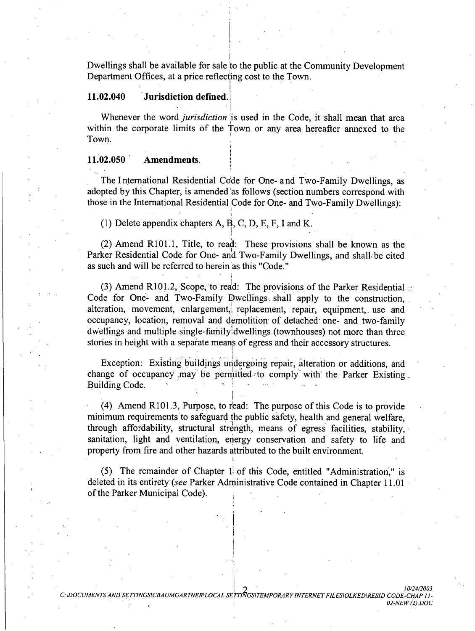Dwellings shall be available for sale to the public at the Community Development Department Offices, at a price reflecting cost to the Town.

#### 11.02.040 **Jurisdiction defined.**

Whenever the word *jurisdiction* is used in the Code, it shall mean that area within the corporate limits of the Town or any area hereafter annexed to the Town.

#### 11.02.050 **Amendments.**

The International Residential Code for One- and Two-Family Dwellings, as adopted by this Chapter, is amended as follows (section numbers correspond with those in the International Residential Code for One- and Two-Family Dwellings):

(1) Delete appendix chapters A, B, C, D, E, F, I and K.

(2) Amend R101.1, Title, to read: These provisions shall be known as the Parker Residential Code for One- and Two-Family Dwellings, and shall be cited as such and will be referred to herein as this "Code."

(3) Amend R101.2, Scope, to read: The provisions of the Parker Residential Code for One- and Two-Family Dwellings shall apply to the construction, alteration, movement, enlargement, replacement, repair, equipment, use and occupancy, location, removal and demolition of detached one- and two-family dwellings and multiple single-family dwellings (townhouses) not more than three stories in height with a separate means of egress and their accessory structures.

Exception: Existing buildings undergoing repair, alteration or additions, and change of occupancy may be permitted to comply with the Parker Existing. Building Code.

(4) Amend R101.3, Purpose, to read: The purpose of this Code is to provide minimum requirements to safeguard the public safety, health and general welfare, through affordability, structural strength, means of egress facilities, stability, sanitation, light and ventilation, energy conservation and safety to life and property from fire and other hazards attributed to the built environment.

(5) The remainder of Chapter 1 of this Code, entitled "Administration," is deleted in its entirety (see Parker Administrative Code contained in Chapter 11.01 of the Parker Municipal Code).

02-NEW (2).DOC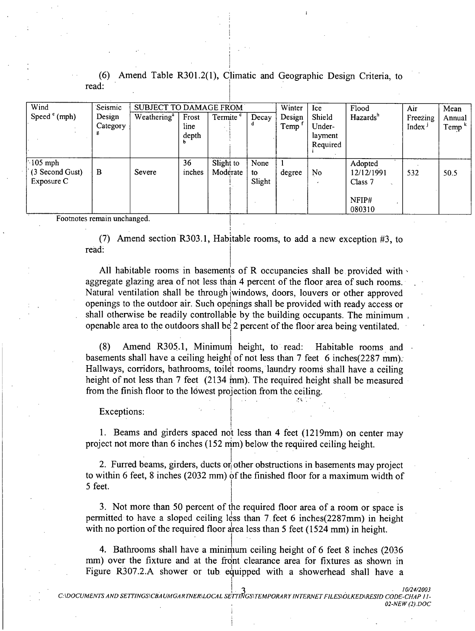| Wind                                       | Seismic                 | <b>SUBJECT TO DAMAGE FROM</b> |                        |                       |                      | Winter         | Ice                                     | Flood                                               | Air                            | Mean                                   |
|--------------------------------------------|-------------------------|-------------------------------|------------------------|-----------------------|----------------------|----------------|-----------------------------------------|-----------------------------------------------------|--------------------------------|----------------------------------------|
| Speed $e^{(mph)}$                          | Design<br>Category<br>В | Weathering <sup>a</sup>       | Frost<br>line<br>depth | Termite <sup>c</sup>  | Decay                | Design<br>Temp | Shield<br>Under-<br>layment<br>Required | Hazards <sup>h</sup>                                | Freezing<br>Index <sup>J</sup> | Annual<br>$\mathsf{Temp}^{\mathsf{k}}$ |
| $105$ mph<br>(3 Second Gust)<br>Exposure C | B                       | Severe                        | 36<br>inches           | Slight to<br>Moderate | None<br>to<br>Slight | degree         | N <sub>o</sub>                          | Adopted<br>12/12/1991<br>Class 7<br>NFIP#<br>080310 | 532                            | 50.5                                   |

Amend Table R301.2(1), Climatic and Geographic Design Criteria, to read:

Footnotes remain unchanged.

(7) Amend section R303.1, Habitable rooms, to add a new exception #3, to read.

All habitable rooms in basements of R occupancies shall be provided with aggregate glazing area of not less than 4 percent of the floor area of such rooms. Natural ventilation shall be through windows, doors, louvers or other approved openings to the outdoor air. Such openings shall be provided with ready access or shall otherwise be readily controllable by the building occupants. The minimum, openable area to the outdoors shall be 2 percent of the floor area being ventilated.

Amend R305.1, Minimum height, to read:  $(8)$ Habitable rooms and basements shall have a ceiling height of not less than 7 feet 6 inches (2287 mm). Hallways, corridors, bathrooms, toilet rooms, laundry rooms shall have a ceiling height of not less than 7 feet  $(2134 \text{ mm})$ . The required height shall be measured from the finish floor to the lowest projection from the ceiling.

Exceptions:

1. Beams and girders spaced not less than 4 feet (1219mm) on center may project not more than 6 inches (152 mm) below the required ceiling height.

2. Furred beams, girders, ducts or other obstructions in basements may project to within 6 feet, 8 inches (2032 mm) of the finished floor for a maximum width of 5 feet.

3. Not more than 50 percent of the required floor area of a room or space is permitted to have a sloped ceiling less than 7 feet 6 inches (2287mm) in height with no portion of the required floor area less than 5 feet (1524 mm) in height.

4. Bathrooms shall have a minimum ceiling height of 6 feet 8 inches (2036) mm) over the fixture and at the front clearance area for fixtures as shown in Figure R307.2.A shower or tub equipped with a showerhead shall have a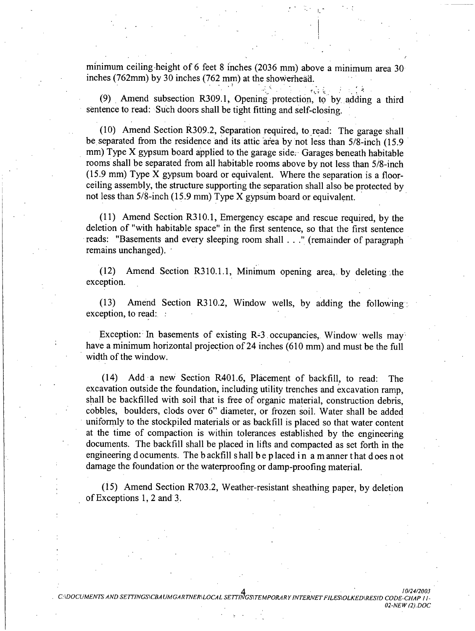minimum ceiling height of 6 feet 8 inches (2036 mm) above a minimum area 30 inches (762mm) by 30 inches (762 mm) at the showerhead.

(9) Amend subsection R309.1, Opening protection, to by adding a third sentence to read: Such doors shall be tight fitting and self-closing.

(10) Amend Section R309.2, Separation required, to read: The garage shall be separated from the residence and its attic area by not less than 5/8-inch (15.9) mm) Type X gypsum board applied to the garage side. Garages beneath habitable rooms shall be separated from all habitable rooms above by not less than 5/8-inch (15.9 mm) Type X gypsum board or equivalent. Where the separation is a floorceiling assembly, the structure supporting the separation shall also be protected by not less than  $5/8$ -inch (15.9 mm) Type X gypsum board or equivalent.

(11) Amend Section R310.1, Emergency escape and rescue required, by the deletion of "with habitable space" in the first sentence, so that the first sentence reads: "Basements and every sleeping room shall . . ." (remainder of paragraph remains unchanged).

Amend Section R310.1.1, Minimum opening area, by deleting the  $(12)$ exception.

Amend Section R310.2, Window wells, by adding the following  $(13)$ exception, to read:

Exception: In basements of existing R-3 occupancies, Window wells may have a minimum horizontal projection of 24 inches (610 mm) and must be the full width of the window.

(14) Add a new Section R401.6, Placement of backfill, to read: The excavation outside the foundation, including utility trenches and excavation ramp, shall be backfilled with soil that is free of organic material, construction debris, cobbles, boulders, clods over 6" diameter, or frozen soil. Water shall be added uniformly to the stockpiled materials or as backfill is placed so that water content at the time of compaction is within tolerances established by the engineering documents. The backfill shall be placed in lifts and compacted as set forth in the engineering documents. The backfill shall be placed in a manner that does not damage the foundation or the waterproofing or damp-proofing material.

(15) Amend Section R703.2, Weather-resistant sheathing paper, by deletion of Exceptions 1, 2 and 3.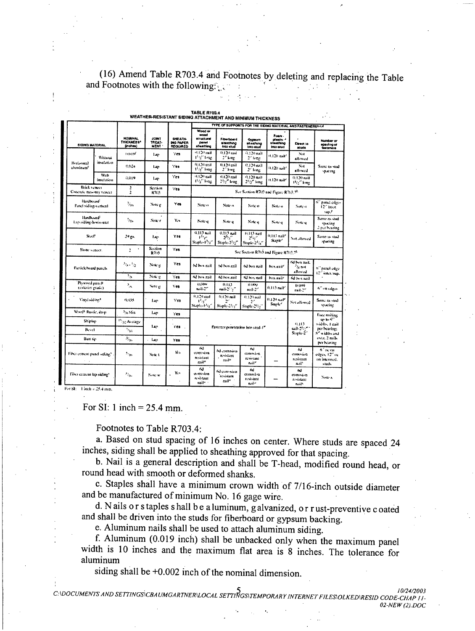(16) Amend Table R703.4 and Footnotes by deleting and replacing the Table and Footnotes with the following.  $\mathcal{F}_{\mathcal{L}}$ 

|                                                 |                    |                                                 |                                       |                                                | WEATHER-RESISTANT SIDING ATTACHMENT AND MINIMUM THICKNESS<br>TYPE OF SUPPORTS FOR THE SIDING MATERIAL AND FASTENERSEAN |                                               |                                                                |                                               |                                         |                                                                 |  |
|-------------------------------------------------|--------------------|-------------------------------------------------|---------------------------------------|------------------------------------------------|------------------------------------------------------------------------------------------------------------------------|-----------------------------------------------|----------------------------------------------------------------|-----------------------------------------------|-----------------------------------------|-----------------------------------------------------------------|--|
| SIDING MATERIAL                                 |                    | <b>NOMINAL</b><br><b>THICKNESS*</b><br>(inches) | <b>JOINT</b><br><b>TREAT-</b><br>MENT | <b>GHEATH-</b><br>ING PAPER<br><b>REQUIRED</b> | Wood or<br>wood<br>etructural<br>DAN-<br>sheathing                                                                     | Fiberboard<br>sheathing<br>into chai          | Orpaum<br>sheathing<br>Into stud                               | Fours.<br>plastic +<br>sheathing<br>into atud | Direct to<br>atuda                      | Number or<br>apecing of<br><b>lasteners</b>                     |  |
|                                                 | Witness            | 0.0195                                          | 1 ar                                  | Yes                                            | 0.120 mil<br>He'ling                                                                                                   | 0.12 Lead<br>2° kute                          | ⊕120 mil<br>$2^{+}$ lives:                                     | (1,120 aait)                                  | $N_{\rm H}$<br>فحصدانه                  |                                                                 |  |
| Horizontal<br>aluminum <sup>e</sup>             | inselation         | $0.02 +$                                        | Lap                                   | Yes                                            | 0.120 anil<br>115° long                                                                                                | $0.120$ call<br>2° king                       | 0.121 mil<br>$2^{\circ}$ long                                  | 0.120 mil <sup>2</sup>                        | No1<br>allowed                          | Sante to stud<br>vp.stang                                       |  |
|                                                 | With<br>insetation | 0.019                                           | lan                                   | Yes                                            | $0.129$ exil.<br>135° loan                                                                                             | $0.120$ mail.<br>$2^{1/2}$ long               | 0.120 mil<br>25%" long                                         | H.120 mil.                                    | 0.120 mil<br>Flore Long                 |                                                                 |  |
| Brick vencer<br>Concrete massing vencer         |                    | 2<br>$\overline{2}$                             | Section<br>R703                       | 7e <sub>0</sub>                                |                                                                                                                        |                                               | See Section R702 and Figure R703.78                            |                                               |                                         |                                                                 |  |
| Hardboard<br>Panel Siding-vertical              |                    | $v_{\rm in}$                                    | Note e                                | Yes                                            | New o                                                                                                                  | Note of                                       | Note o                                                         | Note o                                        | Note of                                 | ø.<br>panel ciliars<br>12° inacc<br>sap,F                       |  |
| Hardhaard <sup>i</sup><br>Lap-siding-horizontal |                    | $\eta_{\ell n}$                                 | Note r                                | Yes                                            | Note of                                                                                                                | Norte di                                      | Note q                                                         | Nito q                                        | Note 4                                  | Same as stud<br>Specing.<br>2 out bearing                       |  |
| Soci                                            |                    | سو دي                                           | lap                                   | Yes                                            | 0.113 mil.<br>مردار<br>Staples 1-7.                                                                                    | 0.113 mil<br>$2^{N}$<br>Starle 21/2"          | <b>10113 nail</b><br>سماء 21<br>Stanic $2^{1}$ a <sup>11</sup> | ù.H3 nail!<br>Stank"                          | Not allowed                             | Same is stud<br><b>Spacing</b>                                  |  |
| Stone veneer.                                   |                    | ŧ<br>1                                          | Section<br><b>R7(0)</b>               | Yes                                            | See Section R703 and Figure R703.7h                                                                                    |                                               |                                                                |                                               |                                         |                                                                 |  |
| Partick board panels                            |                    | وبالمركب                                        | Nu n                                  | Yes                                            | hd box mil                                                                                                             | od box anil                                   | 6d box nail                                                    | box nail*                                     | od twa nail.<br><b>Acres</b><br>allowed | 6 <sup>13</sup> panel edge<br>12" inter. sup.                   |  |
|                                                 |                    | ٠.                                              | Note g                                | Yes                                            | 63 has nail                                                                                                            | Ad box aail                                   | SJ box nail                                                    | box axil.                                     | 6d box and                              |                                                                 |  |
| Plywood panel!<br>(exterior prade).             |                    | ۸,                                              | Note g.                               | ves                                            | 0.CAN<br>mil-2"                                                                                                        | 0.113<br>nail 21 y "                          | minou<br>nail 2°                                               | 0.113 nail <sup>7</sup>                       | <b>UUN</b><br>nail-2"                   | h <sup>in</sup> na cagos                                        |  |
| Viry: sádine*                                   |                    | 0,005                                           | 1 ap                                  | Y'en                                           | 9.120 and<br>ila≌<br>Staple (Fig.)                                                                                     | $0.120$ mail<br>Stante-21/3"                  | 0.129 mil<br>27<br>Stapie 29, "                                | $0.120 \text{ rad}$<br>Stark'                 | Not allowed                             | Same is stud<br>specing.                                        |  |
| Word! Rustic, Jam                               |                    | <sup>3</sup> % Min                              | Lap                                   | Yes                                            |                                                                                                                        |                                               |                                                                |                                               |                                         | <b>Universiting</b>                                             |  |
| Shiplap                                         |                    | <sup>15</sup> ar Avenge                         |                                       |                                                |                                                                                                                        |                                               |                                                                |                                               | 0.413                                   | an in 6 <sup>11</sup><br>width, I gail                          |  |
| Bevel                                           |                    | $t_{27}$                                        | 1.ar                                  | $Y$ es                                         | Fastener penetration into sted-1"                                                                                      | call 21/2"<br>Staple-2"                       | per bearing;<br>S" widths and                                  |                                               |                                         |                                                                 |  |
| Butt tir-                                       |                    | $\mathcal{N}_{\text{max}}$                      | جهيا                                  | Yes                                            |                                                                                                                        |                                               | over, 2 nade<br>per bearing                                    |                                               |                                         |                                                                 |  |
| Fiber content panel siding?                     |                    | ðъ.                                             | Note t                                | Yes.                                           | άů<br>oussian<br><b>RAMALITI</b><br>cail"                                                                              | fel cornision<br>resistant<br>naile           | 6d<br>comeira<br>resistant<br>n.ii <sup>u</sup>                |                                               | 4d<br>ennius<br>resistant<br>niil       | $\alpha$ or $\alpha$<br>edges, 12" oc<br>on intermed.<br>stuils |  |
| Fiber cement tap siding?                        |                    | $\tau_{\rm dm}$                                 | Note w                                | Yes                                            | 64<br>eorrosion<br>resistant<br>rail»                                                                                  | 6d cum saon<br>revistant<br>rail <sup>e</sup> | ód<br>curnicion<br>realstant<br>n il-                          |                                               | ۵d<br>amvina<br>restant<br>nail*        | Note a                                                          |  |

TABLE R703.4

For SI: 1 inch =  $25.4$  mm.

Footnotes to Table R703.4:

a. Based on stud spacing of 16 inches on center. Where studs are spaced 24 inches, siding shall be applied to sheathing approved for that spacing.

b. Nail is a general description and shall be T-head, modified round head, or round head with smooth or deformed shanks.

c. Staples shall have a minimum crown width of 7/16-inch outside diameter and be manufactured of minimum No. 16 gage wire.

d. Nails or staples shall be a luminum, galvanized, or rust-preventive coated and shall be driven into the studs for fiberboard or gypsum backing.

e. Aluminum nails shall be used to attach aluminum siding.

f. Aluminum (0.019 inch) shall be unbacked only when the maximum panel width is 10 inches and the maximum flat area is 8 inches. The tolerance for aluminum

siding shall be  $+0.002$  inch of the nominal dimension.

UV24/2003<br>- C:\DOCUMENTS AND SETTINGS\CBAUMGARTNER\LOCAL SETTINGS\TEMPORARY INTERNET FILES\OLKED\RESID CODE-CHAP II 02-NEW (2) DOC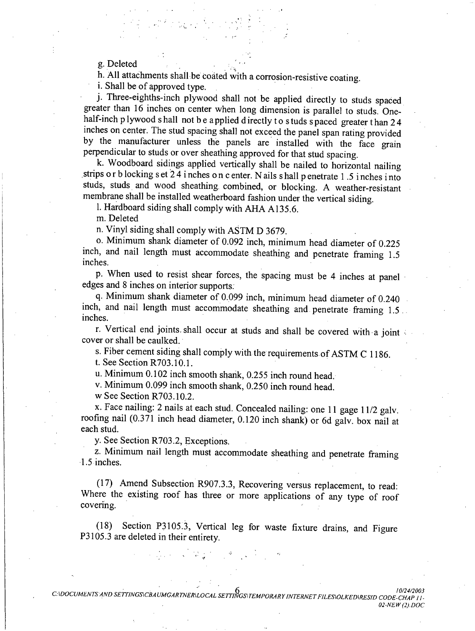g. Deleted

h. All attachments shall be coated with a corrosion-resistive coating.

*i*. Shall be of approved type.

j. Three-eighths-inch plywood shall not be applied directly to studs spaced greater than 16 inches on center when long dimension is parallel to studs. Onehalf-inch plywood shall not be applied directly to studs spaced greater than 24 inches on center. The stud spacing shall not exceed the panel span rating provided by the manufacturer unless the panels are installed with the face grain perpendicular to studs or over sheathing approved for that stud spacing.

k. Woodboard sidings applied vertically shall be nailed to horizontal nailing strips or b locking s et 24 inches on c enter. Nails shall p enetrate 1.5 inches into studs, studs and wood sheathing combined, or blocking. A weather-resistant membrane shall be installed weatherboard fashion under the vertical siding.

l. Hardboard siding shall comply with AHA A135.6.

m. Deleted

n. Vinyl siding shall comply with ASTM D 3679.

o. Minimum shank diameter of 0.092 inch, minimum head diameter of 0.225 inch, and nail length must accommodate sheathing and penetrate framing 1.5 inches.

p. When used to resist shear forces, the spacing must be 4 inches at panel edges and 8 inches on interior supports.

q. Minimum shank diameter of 0.099 inch, minimum head diameter of 0.240 inch, and nail length must accommodate sheathing and penetrate framing 1.5. inches.

r. Vertical end joints shall occur at studs and shall be covered with a joint cover or shall be caulked.

s. Fiber cement siding shall comply with the requirements of ASTM C 1186.

t. See Section R703.10.1.

u. Minimum 0.102 inch smooth shank, 0.255 inch round head.

v. Minimum 0.099 inch smooth shank, 0.250 inch round head.

w See Section R703.10.2.

x. Face nailing: 2 nails at each stud. Concealed nailing: one 11 gage 11/2 galv. roofing nail (0.371 inch head diameter, 0.120 inch shank) or 6d galv. box nail at each stud.

v. See Section R703.2, Exceptions.

z. Minimum nail length must accommodate sheathing and penetrate framing  $1.5$  inches.

(17) Amend Subsection R907.3.3, Recovering versus replacement, to read: Where the existing roof has three or more applications of any type of roof covering.

Section P3105.3, Vertical leg for waste fixture drains, and Figure  $(18)$ P3105.3 are deleted in their entirety.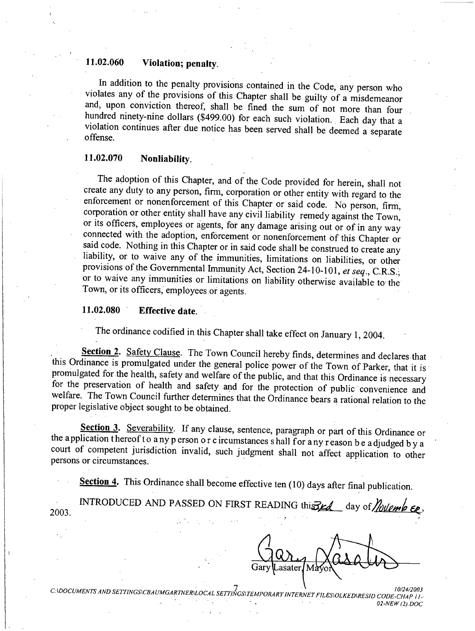#### 11.02.060 Violation; penalty.

In addition to the penalty provisions contained in the Code, any person who violates any of the provisions of this Chapter shall be guilty of a misdemeanor and, upon conviction thereof, shall be fined the sum of not more than four hundred ninety-nine dollars (\$499.00) for each such violation. Each day that a violation continues after due notice has been served shall be deemed a separate offense.

#### 11.02.070 Nonliability.

The adoption of this Chapter, and of the Code provided for herein, shall not create any duty to any person, firm, corporation or other entity with regard to the enforcement or nonenforcement of this Chapter or said code. No person, firm, corporation or other entity shall have any civil liability remedy against the Town, or its officers, employees or agents, for any damage arising out or of in any way connected with the adoption, enforcement or nonenforcement of this Chapter or said code. Nothing in this Chapter or in said code shall be construed to create any liability, or to waive any of the immunities, limitations on liabilities, or other provisions of the Governmental Immunity Act, Section 24-10-101, et seq., C.R.S., or to waive any immunities or limitations on liability otherwise available to the Town, or its officers, employees or agents.

#### 11.02.080 **Effective date.**

The ordinance codified in this Chapter shall take effect on January 1, 2004.

Section 2. Safety Clause. The Town Council hereby finds, determines and declares that this Ordinance is promulgated under the general police power of the Town of Parker, that it is promulgated for the health, safety and welfare of the public, and that this Ordinance is necessary for the preservation of health and safety and for the protection of public convenience and welfare. The Town Council further determines that the Ordinance bears a rational relation to the proper legislative object sought to be obtained.

Section 3. Severability. If any clause, sentence, paragraph or part of this Ordinance or the application thereof to any person or circumstances shall for any reason be adjudged by a court of competent jurisdiction invalid, such judgment shall not affect application to other persons or circumstances.

Section 4. This Ordinance shall become effective ten (10) days after final publication.

| 2003. | INTRODUCED AND PASSED ON FIRST READING this $\frac{d}{dx}$ day of <i>flottemb Eq.</i> |                                                                                                                                                                      |  |  |  |
|-------|---------------------------------------------------------------------------------------|----------------------------------------------------------------------------------------------------------------------------------------------------------------------|--|--|--|
|       |                                                                                       | $\mathcal{L}_\mathbf{A}(\mathcal{D}_\mathbf{A})$ , where $\mathcal{L}_\mathbf{A}(\mathcal{D}_\mathbf{A})$ , and the $\mathcal{L}_\mathbf{A}(\mathcal{D}_\mathbf{A})$ |  |  |  |

asater

C:\DOCUMENTS AND SETTINGS\CBAUMGARTNER\LOCAL SETTINGS\TEMPORARY INTERNET FILES\OLKED\RESID CODE-CHAP 11-02-NEW (2).DOC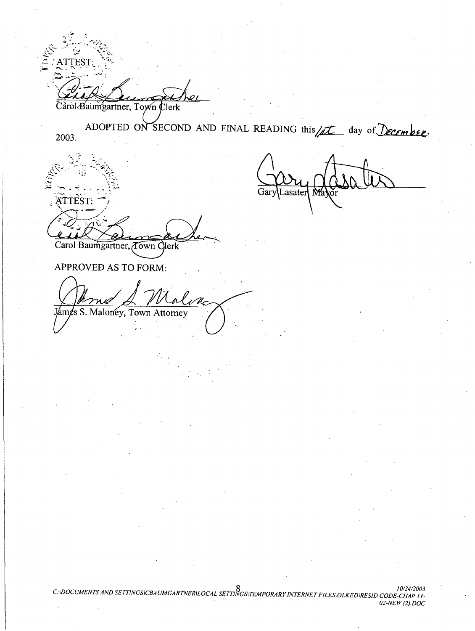**TEST** Carol-Baumgartner, Town Clerk

ADOPTED ON SECOND AND FINAL READING this  $\sqrt{\mathcal{L}}$ day of December. 2003.

ATTEST.

Lasater

Carol Baumgartner, Town Clerk

APPROVED AS TO FORM:

s S. Malonéy, Town Attorney ∕am¢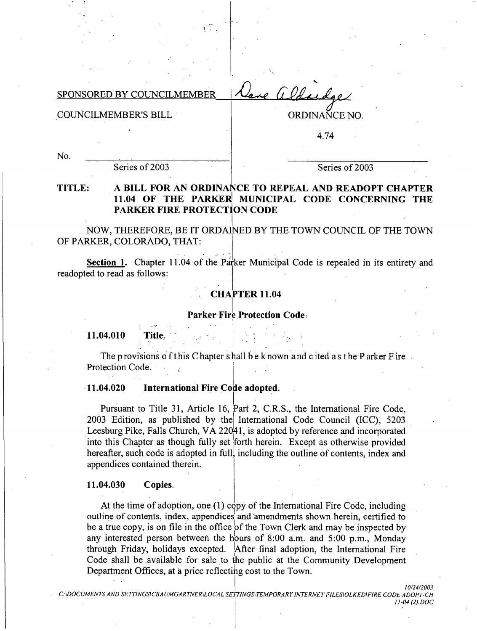GO lachae SPONSORED BY COUNCILMEMBER

**COUNCILMEMBER'S BILL** 

ORDINAÑCE NO.

4.74

No.

Series of 2003

Series of 2003

### TITLE: A BILL FOR AN ORDINANCE TO REPEAL AND READOPT CHAPTER 11.04 OF THE PARKER MUNICIPAL CODE CONCERNING THE **PARKER FIRE PROTECTION CODE**

NOW, THEREFORE, BE IT ORDAINED BY THE TOWN COUNCIL OF THE TOWN OF PARKER, COLORADO, THAT:

Section 1. Chapter 11.04 of the Parker Municipal Code is repealed in its entirety and readopted to read as follows:

## **CHAPTER 11.04**

### **Parker Fire Protection Codes**

11.04.010 Title.

The provisions of this Chapter shall be known and cited as the P arker F ire Protection Code.

#### $-11.04.020$ International Fire Code adopted.

Pursuant to Title 31, Article 16, Part 2, C.R.S., the International Fire Code, 2003 Edition, as published by the International Code Council (ICC), 5203 Leesburg Pike, Falls Church, VA 22041, is adopted by reference and incorporated into this Chapter as though fully set forth herein. Except as otherwise provided hereafter, such code is adopted in full, including the outline of contents, index and appendices contained therein.

#### 11.04.030 Copies.

At the time of adoption, one (1) copy of the International Fire Code, including outline of contents, index, appendices and amendments shown herein, certified to be a true copy, is on file in the office of the Town Clerk and may be inspected by any interested person between the hours of 8:00 a.m. and 5:00 p.m., Monday through Friday, holidays excepted. After final adoption, the International Fire Code shall be available for sale to the public at the Community Development Department Offices, at a price reflecting cost to the Town.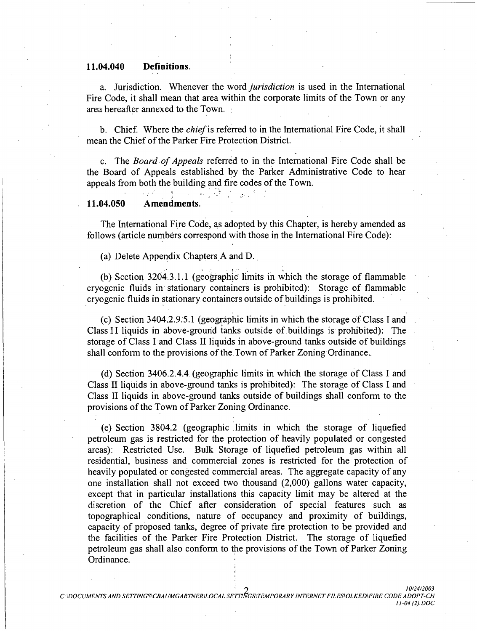#### 11.04.040 Definitions.

a. Jurisdiction. Whenever the word *jurisdiction* is used in the International Fire Code, it shall mean that area within the corporate limits of the Town or any area hereafter annexed to the Town.

b. Chief. Where the *chief* is referred to in the International Fire Code, it shall mean the Chief of the Parker Fire Protection District.

c. The Board of Appeals referred to in the International Fire Code shall be the Board of Appeals established by the Parker Administrative Code to hear appeals from both the building and fire codes of the Town.

#### Amendments. 11.04.050

The International Fire Code, as adopted by this Chapter, is hereby amended as follows (article numbers correspond with those in the International Fire Code):

(a) Delete Appendix Chapters A and D.

 $\mathbf{r}_{\mathrm{in}}$ 

(b) Section 3204.3.1.1 (geographic limits in which the storage of flammable cryogenic fluids in stationary containers is prohibited): Storage of flammable cryogenic fluids in stationary containers outside of buildings is prohibited.

(c) Section 3404.2.9.5.1 (geographic limits in which the storage of Class I and Class II liquids in above-ground tanks outside of buildings is prohibited). The storage of Class I and Class II liquids in above-ground tanks outside of buildings shall conform to the provisions of the Town of Parker Zoning Ordinance.

(d) Section 3406.2.4.4 (geographic limits in which the storage of Class I and Class II liquids in above-ground tanks is prohibited): The storage of Class I and Class II liquids in above-ground tanks outside of buildings shall conform to the provisions of the Town of Parker Zoning Ordinance.

(e) Section 3804.2 (geographic limits in which the storage of liquefied petroleum gas is restricted for the protection of heavily populated or congested areas): Restricted Use. Bulk Storage of liquefied petroleum gas within all residential, business and commercial zones is restricted for the protection of heavily populated or congested commercial areas. The aggregate capacity of any one installation shall not exceed two thousand (2,000) gallons water capacity, except that in particular installations this capacity limit may be altered at the discretion of the Chief after consideration of special features such as topographical conditions, nature of occupancy and proximity of buildings, capacity of proposed tanks, degree of private fire protection to be provided and the facilities of the Parker Fire Protection District. The storage of liquefied petroleum gas shall also conform to the provisions of the Town of Parker Zoning Ordinance.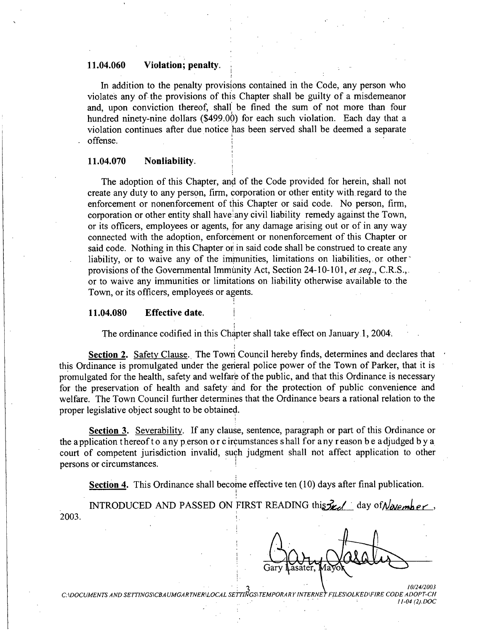#### 11.04.060 Violation; penalty.

In addition to the penalty provisions contained in the Code, any person who violates any of the provisions of this Chapter shall be guilty of a misdemeanor and, upon conviction thereof, shall be fined the sum of not more than four hundred ninety-nine dollars (\$499.00) for each such violation. Each day that a violation continues after due notice has been served shall be deemed a separate offense.

#### 11.04.070 Nonliability.

The adoption of this Chapter, and of the Code provided for herein, shall not create any duty to any person, firm, corporation or other entity with regard to the enforcement or nonenforcement of this Chapter or said code. No person, firm, corporation or other entity shall have any civil liability remedy against the Town, or its officers, employees or agents, for any damage arising out or of in any way connected with the adoption, enforcement or nonenforcement of this Chapter or said code. Nothing in this Chapter or in said code shall be construed to create any liability, or to waive any of the immunities, limitations on liabilities, or other provisions of the Governmental Immunity Act, Section 24-10-101, et seq., C.R.S., or to waive any immunities or limitations on liability otherwise available to the Town, or its officers, employees or agents.

#### 11.04.080 **Effective date.**

The ordinance codified in this Chapter shall take effect on January 1, 2004.

Section 2. Safety Clause. The Town Council hereby finds, determines and declares that this Ordinance is promulgated under the general police power of the Town of Parker, that it is promulgated for the health, safety and welfare of the public, and that this Ordinance is necessary for the preservation of health and safety and for the protection of public convenience and welfare. The Town Council further determines that the Ordinance bears a rational relation to the proper legislative object sought to be obtained.

Section 3. Severability. If any clause, sentence, paragraph or part of this Ordinance or the application thereof to any person or c ircumstances shall for any reason be adjudged by a court of competent jurisdiction invalid, such judgment shall not affect application to other persons or circumstances.

Section 4. This Ordinance shall become effective ten (10) days after final publication.

INTRODUCED AND PASSED ON FIRST READING this  $\frac{1}{2}$  day of Navember, 2003.

C:\DOCUMENTS AND SETTINGS\CBAUMGARTNER\LOCAL SETTINGS\TEMPORARY INTERNET FILES\OLKED\FIRE CODE ADOPT-CH

 $11-04(2).DOC$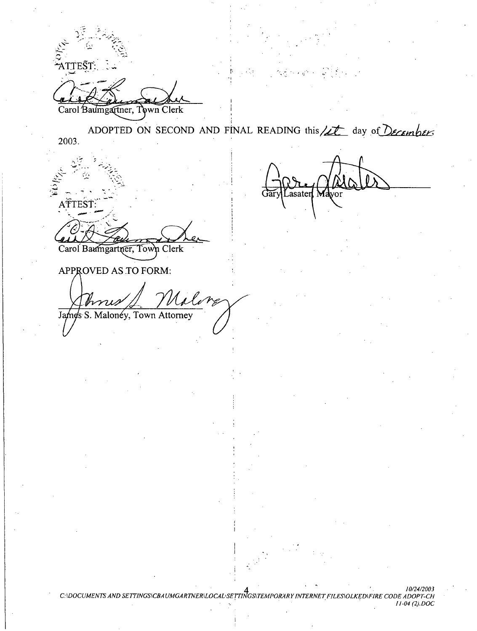**\TTEST** Carol Baumgartner, Town Clerk ADOPTED ON SECOND AND FINAL READING this /2t day of Decembers 2003. asater jar ATTEST: Carol Baumgartner, Town Clerk APPROVED AS TO FORM: James S. Maloney, Town Attorney

10/24/2003 10/24/2003<br>C:\DOCUMENTS AND SETTINGS\CBAUMGARTNER\LOCAL\SETTINGS\TEMPORARY INTERNET FILES\OLKED\FIRE CODE ADOPT-CH  $11-04$  (2) DOC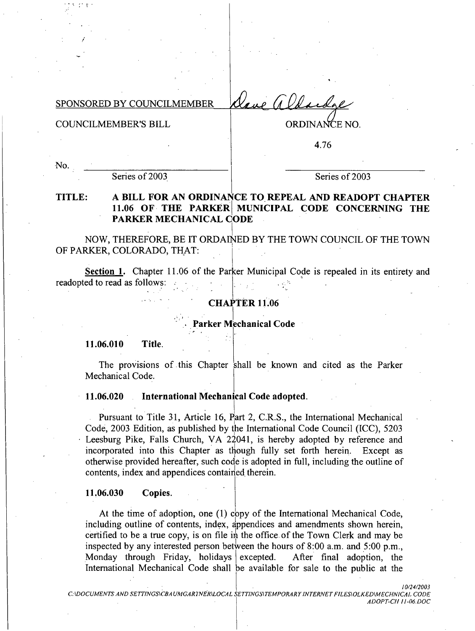Vere a Vere SPONSORED BY COUNCILMEMBER

**COUNCILMEMBER'S BILL** 

ORDINANCE NO.

4.76

No.

Series of 2003

Series of 2003

### A BILL FOR AN ORDINANCE TO REPEAL AND READOPT CHAPTER TITLE: 11.06 OF THE PARKER MUNICIPAL CODE CONCERNING THE **PARKER MECHANICAL CODE**

NOW, THEREFORE, BE IT ORDAINED BY THE TOWN COUNCIL OF THE TOWN OF PARKER, COLORADO, THAT:

Section 1. Chapter 11.06 of the Parker Municipal Code is repealed in its entirety and readopted to read as follows:

### **CHAPTER 11.06**

Parker Mechanical Code

11.06.010 Title.

The provisions of this Chapter shall be known and cited as the Parker Mechanical Code.

#### 11.06.020 International Mechanical Code adopted.

Pursuant to Title 31, Article 16, Part 2, C.R.S., the International Mechanical Code, 2003 Edition, as published by the International Code Council (ICC), 5203 Leesburg Pike, Falls Church, VA 22041, is hereby adopted by reference and incorporated into this Chapter as though fully set forth herein. Except as otherwise provided hereafter, such code is adopted in full, including the outline of contents, index and appendices contained therein.

#### 11.06.030 Copies.

At the time of adoption, one (1) copy of the International Mechanical Code, including outline of contents, index, appendices and amendments shown herein, certified to be a true copy, is on file in the office of the Town Clerk and may be inspected by any interested person between the hours of 8:00 a.m. and 5:00 p.m., Monday through Friday, holidays excepted. After final adoption, the International Mechanical Code shall be available for sale to the public at the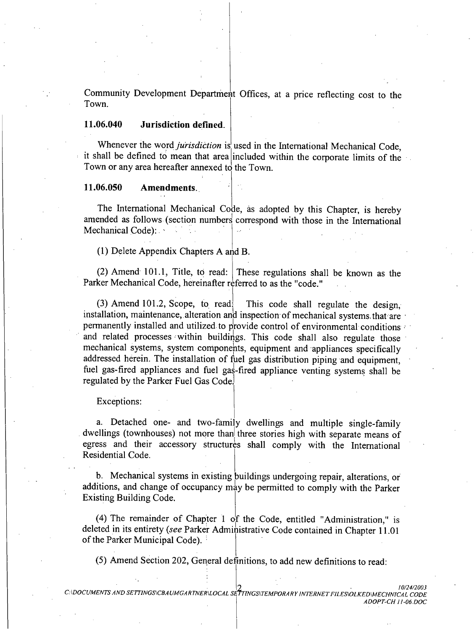Community Development Department Offices, at a price reflecting cost to the Town.

#### 11.06.040 **Jurisdiction defined.**

Whenever the word *jurisdiction* is used in the International Mechanical Code. it shall be defined to mean that area included within the corporate limits of the Town or any area hereafter annexed to the Town.

#### 11.06.050 Amendments.

The International Mechanical Code, as adopted by this Chapter, is hereby amended as follows (section numbers correspond with those in the International Mechanical Code):

(1) Delete Appendix Chapters A and B.

(2) Amend 101.1, Title, to read: These regulations shall be known as the Parker Mechanical Code, hereinafter referred to as the "code."

 $(3)$  Amend 101.2, Scope, to read: This code shall regulate the design. installation, maintenance, alteration and inspection of mechanical systems that are permanently installed and utilized to provide control of environmental conditions and related processes within buildings. This code shall also regulate those mechanical systems, system components, equipment and appliances specifically addressed herein. The installation of fuel gas distribution piping and equipment. fuel gas-fired appliances and fuel gas-fired appliance venting systems shall be regulated by the Parker Fuel Gas Code.

Exceptions:

a. Detached one- and two-family dwellings and multiple single-family dwellings (townhouses) not more than three stories high with separate means of egress and their accessory structures shall comply with the International Residential Code.

b. Mechanical systems in existing buildings undergoing repair, alterations, or additions, and change of occupancy may be permitted to comply with the Parker **Existing Building Code.** 

(4) The remainder of Chapter 1 of the Code, entitled "Administration," is deleted in its entirety (see Parker Administrative Code contained in Chapter 11.01 of the Parker Municipal Code).

(5) Amend Section 202, General definitions, to add new definitions to read: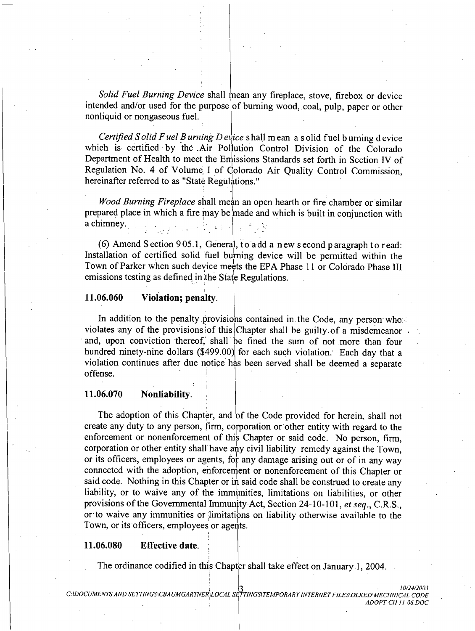Solid Fuel Burning Device shall mean any fireplace, stove, firebox or device intended and/or used for the purpose of burning wood, coal, pulp, paper or other nonliquid or nongaseous fuel.

*Certified Solid Fuel Burning Device* shall mean a solid fuel burning device which is certified by the Air Pollution Control Division of the Colorado Department of Health to meet the Emissions Standards set forth in Section IV of Regulation No. 4 of Volume I of Colorado Air Quality Control Commission, hereinafter referred to as "State Regulations."

*Wood Burning Fireplace shall mean an open hearth or fire chamber or similar* prepared place in which a fire may be made and which is built in conjunction with a chimney.

(6) Amend Section 905.1, General, to a dd a new second paragraph to read: Installation of certified solid fuel burning device will be permitted within the Town of Parker when such device meets the EPA Phase 11 or Colorado Phase III emissions testing as defined in the State Regulations.

#### 11.06.060 Violation; penalty.

In addition to the penalty provisions contained in the Code, any person whose violates any of the provisions of this Chapter shall be guilty of a misdemeanor and, upon conviction thereof, shall be fined the sum of not more than four hundred ninety-nine dollars (\$499.00) for each such violation. Each day that a violation continues after due notice has been served shall be deemed a separate offense.

#### 11.06.070 Nonliability.

The adoption of this Chapter, and of the Code provided for herein, shall not create any duty to any person, firm, corporation or other entity with regard to the enforcement or nonenforcement of this Chapter or said code. No person, firm, corporation or other entity shall have any civil liability remedy against the Town, or its officers, employees or agents, for any damage arising out or of in any way connected with the adoption, enforcement or nonenforcement of this Chapter or said code. Nothing in this Chapter or in said code shall be construed to create any liability, or to waive any of the immunities, limitations on liabilities, or other provisions of the Governmental Immunity Act, Section 24-10-101, et seq., C.R.S., or to waive any immunities or limitations on liability otherwise available to the Town, or its officers, employees or agents.

#### 11.06.080 **Effective date.**

The ordinance codified in this Chapter shall take effect on January 1, 2004.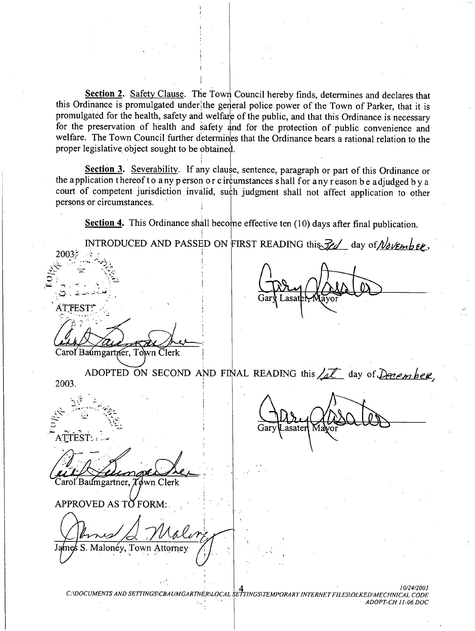Section 2. Safety Clause. The Town Council hereby finds, determines and declares that this Ordinance is promulgated under the general police power of the Town of Parker, that it is promulgated for the health, safety and welfare of the public, and that this Ordinance is necessary for the preservation of health and safety and for the protection of public convenience and welfare. The Town Council further determines that the Ordinance bears a rational relation to the proper legislative object sought to be obtained.

Section 3. Severability. If any clause, sentence, paragraph or part of this Ordinance or the application thereof to any person or c ircumstances shall for any reason be adjudged by a court of competent jurisdiction invalid, such judgment shall not affect application to other persons or circumstances.

Section 4. This Ordinance shall become effective ten  $(10)$  days after final publication.

INTRODUCED AND PASSED ON FIRST READING this  $\frac{7}{2}$  day of  $\frac{1}{d}$  were  $\epsilon$ . 20035 ÁTTEST Carol Baumgartner, Town Clerk ADOPTED ON SECOND AND FINAL READING this  $\sqrt{2\ell}$  day of December, 2003. ATTEST: Carol Baumgartner, Tøwn Clerk APPROVED AS TO FORM: S. Malonéy, Town Attorney C:\DOCUMENTS AND SETTINGS\CBAUMGARTNER\LOCAL SETTINGS\TEMPORARY INTERNET FILES\OLKED\MECHNICAL CODE ADOPT-CH 11-06.DOC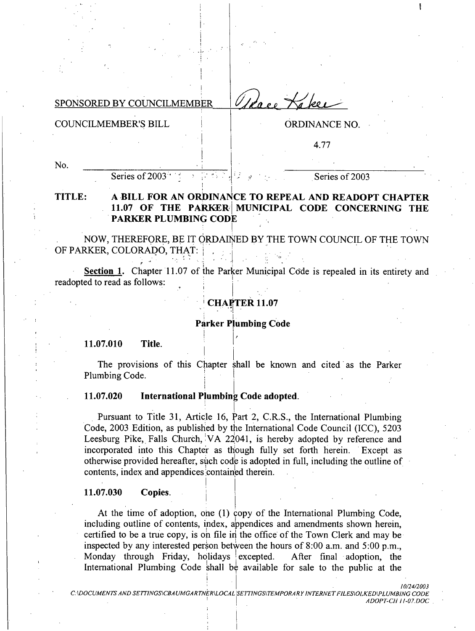SPONSORED BY COUNCILMEMBER

Uldee Kakee

**COUNCILMEMBER'S BILL** 

ORDINANCE NO.

4.77

No.

Series of 2003

Series of 2003

### TITLE: A BILL FOR AN ORDINANCE TO REPEAL AND READOPT CHAPTER 11.07 OF THE PARKER MUNICIPAL CODE CONCERNING THE **PARKER PLUMBING CODE**

NOW, THEREFORE, BE IT ORDAINED BY THE TOWN COUNCIL OF THE TOWN OF PARKER, COLORADO, THAT:

Section 1. Chapter 11.07 of the Parker Municipal Code is repealed in its entirety and readopted to read as follows:

## **CHAPTER 11.07**

### **Parker Plumbing Code**

11.07.010 Title.

The provisions of this Chapter shall be known and cited as the Parker Plumbing Code.

#### 11.07.020 International Plumbing Code adopted.

Pursuant to Title 31, Article 16, Part 2, C.R.S., the International Plumbing Code, 2003 Edition, as published by the International Code Council (ICC), 5203 Leesburg Pike, Falls Church, VA 22041, is hereby adopted by reference and incorporated into this Chapter as though fully set forth herein. Except as otherwise provided hereafter, such code is adopted in full, including the outline of contents, index and appendices contained therein.

#### 11.07.030 Copies.

At the time of adoption, one (1) copy of the International Plumbing Code, including outline of contents, index, appendices and amendments shown herein, certified to be a true copy, is on file in the office of the Town Clerk and may be inspected by any interested person between the hours of 8:00 a.m. and 5:00 p.m., Monday through Friday, holidays excepted. After final adoption, the International Plumbing Code shall be available for sale to the public at the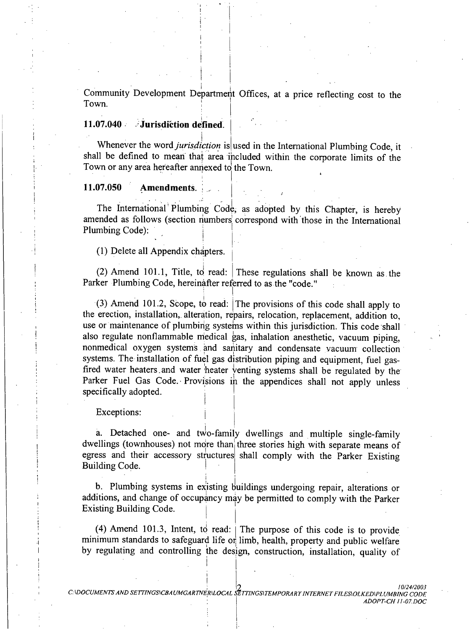Community Development Department Offices, at a price reflecting cost to the Town.

### 11.07.040 Jurisdiction defined.

Whenever the word *jurisdiction* is used in the International Plumbing Code, it shall be defined to mean that area included within the corporate limits of the Town or any area hereafter annexed to the Town.

#### 11.07.050 Amendments.

The International Plumbing Code, as adopted by this Chapter, is hereby amended as follows (section numbers correspond with those in the International Plumbing Code):

(1) Delete all Appendix chapters.

(2) Amend 101.1, Title, to read: These regulations shall be known as the Parker Plumbing Code, hereinafter referred to as the "code."

(3) Amend 101.2, Scope, to read: The provisions of this code shall apply to the erection, installation, alteration, repairs, relocation, replacement, addition to, use or maintenance of plumbing systems within this jurisdiction. This code shall also regulate nonflammable medical gas, inhalation anesthetic, vacuum piping, nonmedical oxygen systems and sanitary and condensate vacuum collection systems. The installation of fuel gas distribution piping and equipment, fuel gasfired water heaters and water heater venting systems shall be regulated by the Parker Fuel Gas Code. Provisions in the appendices shall not apply unless specifically adopted.

Exceptions:

a. Detached one- and two-family dwellings and multiple single-family dwellings (townhouses) not more than three stories high with separate means of egress and their accessory structures shall comply with the Parker Existing Building Code.

b. Plumbing systems in existing buildings undergoing repair, alterations or additions, and change of occupancy may be permitted to comply with the Parker Existing Building Code.

(4) Amend 101.3, Intent, to read:  $\vert$  The purpose of this code is to provide minimum standards to safeguard life or limb, health, property and public welfare by regulating and controlling the design, construction, installation, quality of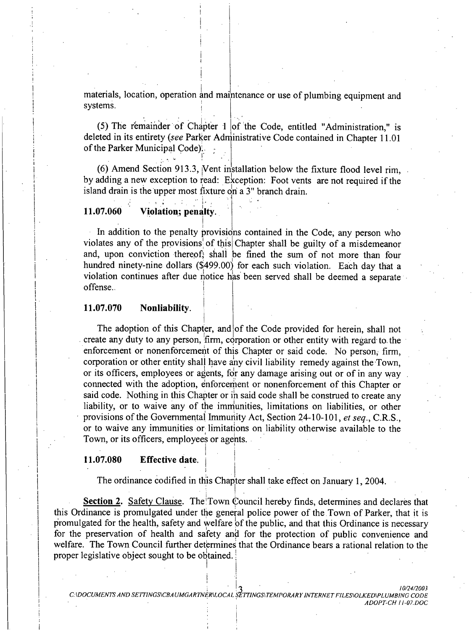materials, location, operation and maintenance or use of plumbing equipment and systems.

(5) The remainder of Chapter 1 of the Code, entitled "Administration," is deleted in its entirety (see Parker Administrative Code contained in Chapter 11.01 of the Parker Municipal Code).

(6) Amend Section 913.3, Vent installation below the fixture flood level rim. by adding a new exception to read: Exception: Foot vents are not required if the island drain is the upper most fixture on a  $3$ " branch drain.

#### 11.07.060 Violation; penalty.

In addition to the penalty provisions contained in the Code, any person who violates any of the provisions of this Chapter shall be guilty of a misdemeanor and, upon conviction thereof, shall be fined the sum of not more than four hundred ninety-nine dollars (\$499.00) for each such violation. Each day that a violation continues after due notice has been served shall be deemed a separate offense.

#### 11.07.070 Nonliability.

The adoption of this Chapter, and of the Code provided for herein, shall not create any duty to any person, firm, corporation or other entity with regard to the enforcement or nonenforcement of this Chapter or said code. No person, firm, corporation or other entity shall have any civil liability remedy against the Town, or its officers, employees or agents, for any damage arising out or of in any way connected with the adoption, enforcement or nonenforcement of this Chapter or said code. Nothing in this Chapter or in said code shall be construed to create any liability, or to waive any of the immunities, limitations on liabilities, or other provisions of the Governmental Immunity Act, Section 24-10-101, et seq., C.R.S., or to waive any immunities or limitations on liability otherwise available to the Town, or its officers, employees or agents.

#### 11.07.080 **Effective date.**

The ordinance codified in this Chapter shall take effect on January 1, 2004.

Section 2. Safety Clause. The Town Council hereby finds, determines and declares that this Ordinance is promulgated under the general police power of the Town of Parker, that it is promulgated for the health, safety and welfare of the public, and that this Ordinance is necessary for the preservation of health and safety and for the protection of public convenience and welfare. The Town Council further determines that the Ordinance bears a rational relation to the proper legislative object sought to be obtained.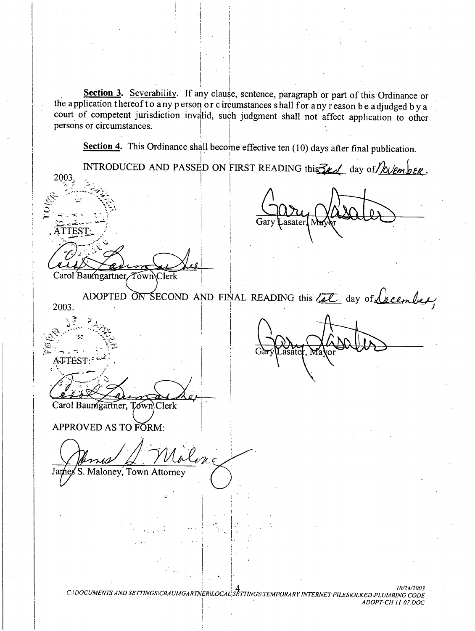Section 3. Severability. If any clause, sentence, paragraph or part of this Ordinance or the application thereof to any person or c ircumstances shall for any reason be adjudged by a court of competent jurisdiction invalid, such judgment shall not affect application to other persons or circumstances.

Section 4. This Ordinance shall become effective ten  $(10)$  days after final publication.

INTRODUCED AND PASSED ON FIRST READING this  $\mathcal{Z}_{\ell,d}$  day of  $\mathcal{Z}_{\ell,d}$ 2003 i Colo asater TEST Carol Baumgartner, Town\Clerk ADOPTED ON SECOND AND FINAL READING this Let day of <u>Necember</u> 2003. ATTEST:-Carol Baumgartner, Town Clerk APPROVED AS TO FORM: S. Maloney, Town Attorney James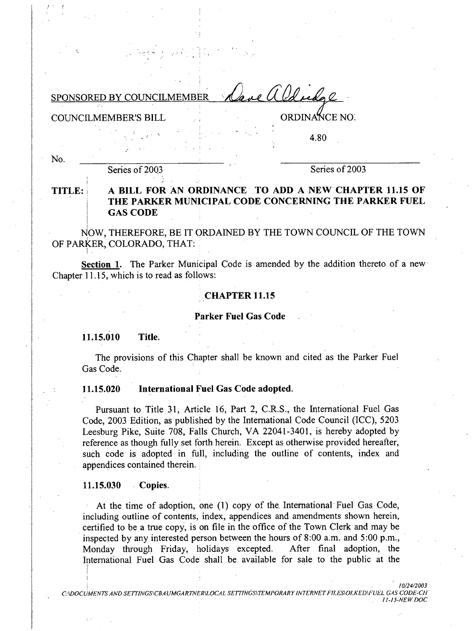mal a Od redge SPONSORED BY COUNCILMEMBER

**COUNCILMEMBER'S BILL** 

ORDINANCE NO.

4.80

No.

Series of 2003

Series of 2003

### A BILL FOR AN ORDINANCE TO ADD A NEW CHAPTER 11.15 OF TITLE: THE PARKER MUNICIPAL CODE CONCERNING THE PARKER FUEL **GAS CODE**

NOW, THEREFORE, BE IT ORDAINED BY THE TOWN COUNCIL OF THE TOWN OF PARKER, COLORADO, THAT:

Section 1. The Parker Municipal Code is amended by the addition thereto of a new Chapter 11.15, which is to read as follows:

### **CHAPTER 11.15**

**Parker Fuel Gas Code** 

11.15.010 Title.

The provisions of this Chapter shall be known and cited as the Parker Fuel Gas Code.

#### 11.15.020 International Fuel Gas Code adopted.

Pursuant to Title 31, Article 16, Part 2, C.R.S., the International Fuel Gas Code, 2003 Edition, as published by the International Code Council (ICC), 5203 Leesburg Pike, Suite 708, Falls Church, VA 22041-3401, is hereby adopted by reference as though fully set forth herein. Except as otherwise provided hereafter, such code is adopted in full, including the outline of contents, index and appendices contained therein.

#### 11.15.030 Copies.

At the time of adoption, one (1) copy of the International Fuel Gas Code, including outline of contents, index, appendices and amendments shown herein, certified to be a true copy, is on file in the office of the Town Clerk and may be inspected by any interested person between the hours of 8:00 a.m. and 5:00 p.m., Monday through Friday, holidays excepted. After final adoption, the International Fuel Gas Code shall be available for sale to the public at the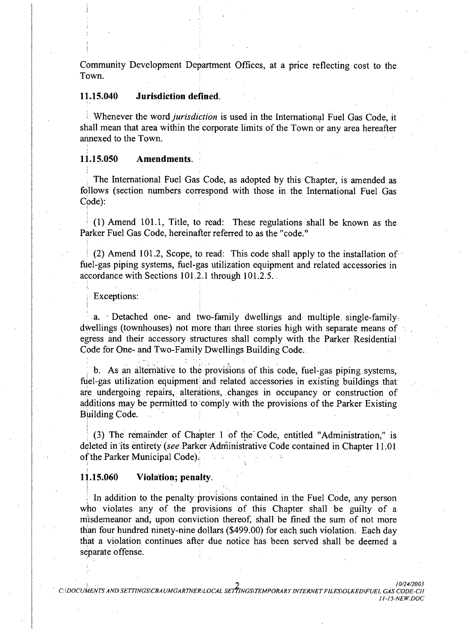Community Development Department Offices, at a price reflecting cost to the Town.

#### Jurisdiction defined. 11.15.040

Whenever the word *jurisdiction* is used in the International Fuel Gas Code, it shall mean that area within the corporate limits of the Town or any area hereafter annexed to the Town.

#### 11.15.050 Amendments.

The International Fuel Gas Code, as adopted by this Chapter, is amended as follows (section numbers correspond with those in the International Fuel Gas  $Code):$ 

(1) Amend 101.1, Title, to read: These regulations shall be known as the Parker Fuel Gas Code, hereinafter referred to as the "code."

(2) Amend 101.2, Scope, to read: This code shall apply to the installation of fuel-gas piping systems, fuel-gas utilization equipment and related accessories in accordance with Sections 101.2.1 through 101.2.5.

### Exceptions:

a. Detached one- and two-family dwellings and multiple single-family. dwellings (townhouses) not more than three stories high with separate means of egress and their accessory structures shall comply with the Parker Residential Code for One- and Two-Family Dwellings Building Code.

b. As an alternative to the provisions of this code, fuel-gas piping systems, fuel-gas utilization equipment and related accessories in existing buildings that are undergoing repairs, alterations, changes in occupancy or construction of additions may be permitted to comply with the provisions of the Parker Existing Building Code.

(3) The remainder of Chapter 1 of the Code, entitled "Administration," is deleted in its entirety (see Parker Administrative Code contained in Chapter 11.01 of the Parker Municipal Code).

#### Violation; penalty. 11.15.060

In addition to the penalty provisions contained in the Fuel Code, any person who violates any of the provisions of this Chapter shall be guilty of a misdemeanor and, upon conviction thereof, shall be fined the sum of not more than four hundred ninety-nine dollars (\$499.00) for each such violation. Each day that a violation continues after due notice has been served shall be deemed a separate offense.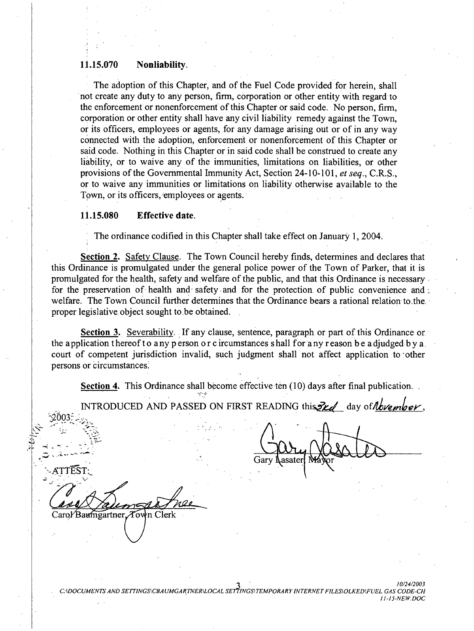#### Nonliability. 11.15.070

The adoption of this Chapter, and of the Fuel Code provided for herein, shall not create any duty to any person, firm, corporation or other entity with regard to the enforcement or nonenforcement of this Chapter or said code. No person, firm, corporation or other entity shall have any civil liability remedy against the Town. or its officers, employees or agents, for any damage arising out or of in any way connected with the adoption, enforcement or nonenforcement of this Chapter or said code. Nothing in this Chapter or in said code shall be construed to create any liability, or to waive any of the immunities, limitations on liabilities, or other provisions of the Governmental Immunity Act, Section 24-10-101, et seq., C.R.S., or to waive any immunities or limitations on liability otherwise available to the Town, or its officers, employees or agents.

#### 11.15.080 **Effective date.**

The ordinance codified in this Chapter shall take effect on January 1, 2004.

Section 2. Safety Clause. The Town Council hereby finds, determines and declares that this Ordinance is promulgated under the general police power of the Town of Parker, that it is promulgated for the health, safety and welfare of the public, and that this Ordinance is necessary for the preservation of health and safety and for the protection of public convenience and welfare. The Town Council further determines that the Ordinance bears a rational relation to the proper legislative object sought to be obtained.

Section 3. Severability. If any clause, sentence, paragraph or part of this Ordinance or the application thereof to any person or c ircumstances shall for any reason be adjudged by a court of competent jurisdiction invalid, such judgment shall not affect application to other persons or circumstances.

Section 4. This Ordinance shall become effective ten (10) days after final publication.

INTRODUCED AND PASSED ON FIRST READING this 2rd day of November,

Gary Lasater

Carol Baumgartner Town Clerk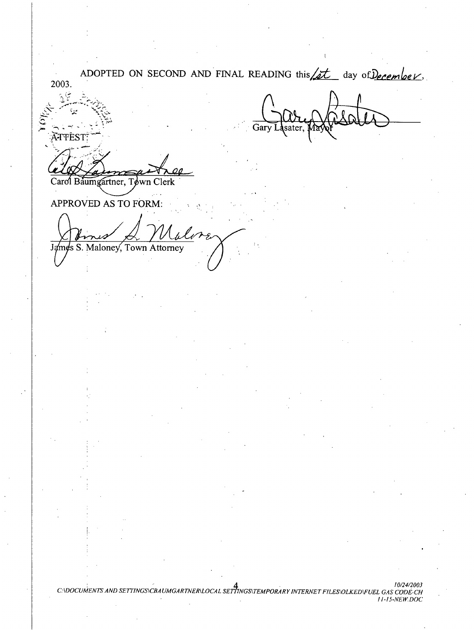ADOPTED ON SECOND AND FINAL READING this <u>(it</u> day of December, 2003. ښې Gary sater. **ATTEST:** Carol Baumgartner, Tøwn Clerk APPROVED AS TO FORM: James S. Maloney, Town Attorney

C:\DOCUMENTS AND SETTINGS\CBAUMGARTNER\LOCAL SETTINGS\TEMPORARY INTERNET FILES\OLKED\FUEL GAS CODE-CH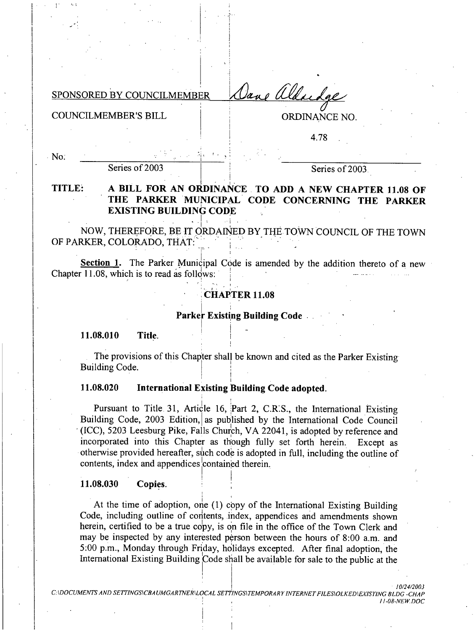Jane aldudge SPONSORED BY COUNCILMEMBER

**COUNCILMEMBER'S BILL** 

 $\cdot$  No.

**ORDINANCE NO.** 

4.78

Series of 2003

Series of 2003.

### TITLE: A BILL FOR AN ORDINANCE TO ADD A NEW CHAPTER 11.08 OF THE PARKER MUNICIPAL CODE CONCERNING THE PARKER **EXISTING BUILDING CODE**

NOW, THEREFORE, BE IT ORDAINED BY THE TOWN COUNCIL OF THE TOWN OF PARKER, COLORADO, THAT.

Section 1. The Parker Municipal Code is amended by the addition thereto of a new Chapter 11.08, which is to read as follows:

## **CHAPTER 11.08**

### Parker Existing Building Code.

11.08.010 Title.

The provisions of this Chapter shall be known and cited as the Parker Existing **Building Code.** 

#### 11.08.020 **International Existing Building Code adopted.**

Pursuant to Title 31, Article 16, Part 2, C.R.S., the International Existing Building Code, 2003 Edition, as published by the International Code Council (ICC), 5203 Leesburg Pike, Falls Church, VA 22041, is adopted by reference and incorporated into this Chapter as though fully set forth herein. Except as otherwise provided hereafter, such code is adopted in full, including the outline of contents, index and appendices contained therein.

#### 11.08.030 Copies.

At the time of adoption, one (1) copy of the International Existing Building Code, including outline of contents, index, appendices and amendments shown herein, certified to be a true copy, is on file in the office of the Town Clerk and may be inspected by any interested person between the hours of 8:00 a.m. and 5:00 p.m., Monday through Friday, holidays excepted. After final adoption, the International Existing Building Code shall be available for sale to the public at the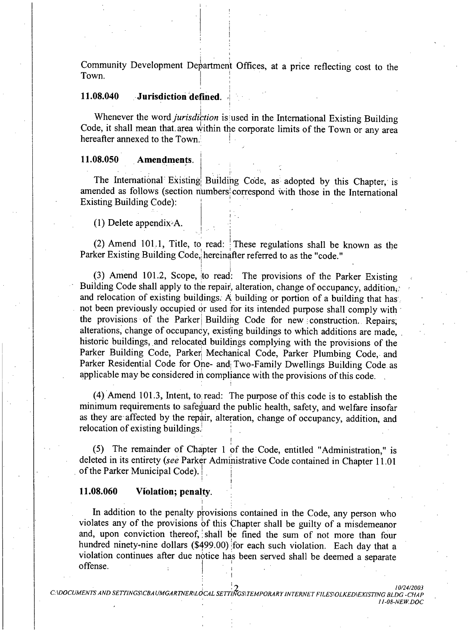Community Development Department Offices, at a price reflecting cost to the Town.

#### 11.08.040 Jurisdiction defined.

Whenever the word jurisdiction is used in the International Existing Building Code, it shall mean that area within the corporate limits of the Town or any area hereafter annexed to the Town.

#### 11.08.050 **Amendments.**

The International Existing Building Code, as adopted by this Chapter, is amended as follows (section numbers correspond with those in the International **Existing Building Code):** 

 $(1)$  Delete appendix A.

(2) Amend 101.1, Title, to read: These regulations shall be known as the Parker Existing Building Code, hereinafter referred to as the "code."

(3) Amend 101.2, Scope, to read: The provisions of the Parker Existing Building Code shall apply to the repair, alteration, change of occupancy, addition. and relocation of existing buildings. A building or portion of a building that has not been previously occupied or used for its intended purpose shall comply with the provisions of the Parker Building Code for new construction. Repairs, alterations, change of occupancy, existing buildings to which additions are made. historic buildings, and relocated buildings complying with the provisions of the Parker Building Code, Parker Mechanical Code, Parker Plumbing Code, and Parker Residential Code for One- and Two-Family Dwellings Building Code as applicable may be considered in compliance with the provisions of this code.

(4) Amend 101.3, Intent, to read: The purpose of this code is to establish the minimum requirements to safeguard the public health, safety, and welfare insofar as they are affected by the repair, alteration, change of occupancy, addition, and relocation of existing buildings.

(5) The remainder of Chapter 1 of the Code, entitled "Administration," is deleted in its entirety (see Parker Administrative Code contained in Chapter 11.01 of the Parker Municipal Code).

#### 11.08.060 Violation; penalty.

In addition to the penalty provisions contained in the Code, any person who violates any of the provisions of this Chapter shall be guilty of a misdemeanor and, upon conviction thereof, shall be fined the sum of not more than four hundred ninety-nine dollars (\$499.00) for each such violation. Each day that a violation continues after due notice has been served shall be deemed a separate offense.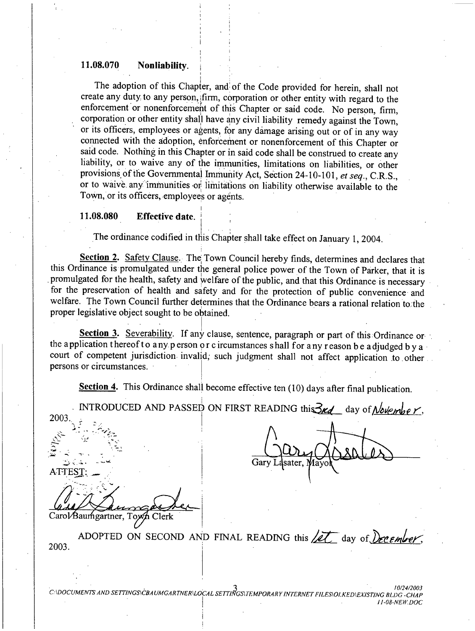#### 11.08.070 Nonliability.

The adoption of this Chapter, and of the Code provided for herein, shall not create any duty to any person, firm, corporation or other entity with regard to the enforcement or nonenforcement of this Chapter or said code. No person, firm, corporation or other entity shall have any civil liability remedy against the Town, or its officers, employees or agents, for any damage arising out or of in any way connected with the adoption, enforcement or nonenforcement of this Chapter or said code. Nothing in this Chapter or in said code shall be construed to create any liability, or to waive any of the immunities, limitations on liabilities, or other provisions of the Governmental Immunity Act, Section 24-10-101, et seq., C.R.S., or to waive any immunities or limitations on liability otherwise available to the Town, or its officers, employees or agents.

#### **Effective date.** 11.08.080

The ordinance codified in this Chapter shall take effect on January 1, 2004.

Section 2. Safety Clause. The Town Council hereby finds, determines and declares that this Ordinance is promulgated under the general police power of the Town of Parker, that it is promulgated for the health, safety and welfare of the public, and that this Ordinance is necessary for the preservation of health and safety and for the protection of public convenience and welfare. The Town Council further determines that the Ordinance bears a rational relation to the proper legislative object sought to be obtained.

Section 3. Severability. If any clause, sentence, paragraph or part of this Ordinance or the application thereof to any person or c ircumstances shall for any reason be adjudged by a court of competent jurisdiction invalid, such judgment shall not affect application to other persons or circumstances.

Section 4. This Ordinance shall become effective ten (10) days after final publication.

INTRODUCED AND PASSED ON FIRST READING this 3rd day of November, 2003

**ATTES** 

Carol/Baumgartner, Toxyn Clerk

ADOPTED ON SECOND AND FINAL READING this  $\chi$ et day of  $\chi$  ember. 2003.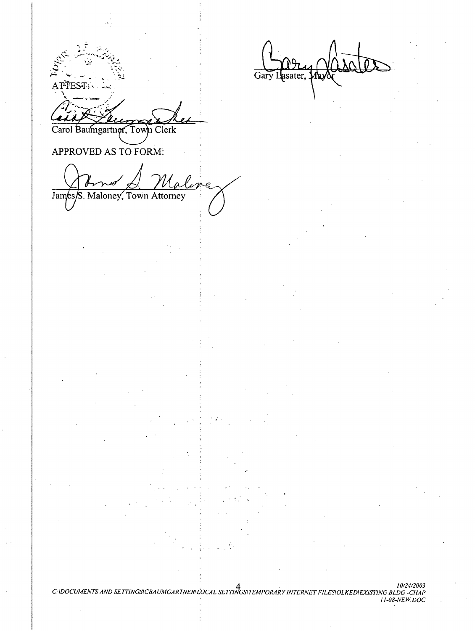ATFEST: Carol Baumgartner, Town Clerk

APPROVED AS TO FORM:

M e James/S. Maloney, Town Attorney

C:\DOCUMENTS AND SETTINGS\CBAUMGARTNER\LOCAL SETTINGS\TEMPORARY INTERNET FILES\OLKED\EXISTING BLDG -CHAP<br>11-08-NEW.DOC

asater, 1 Gary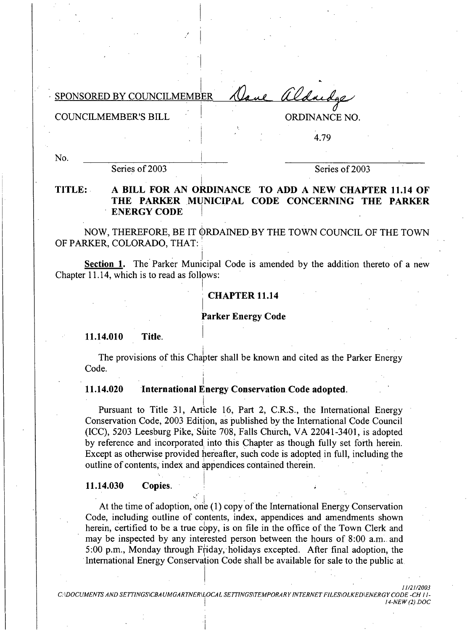Dave aldredge SPONSORED BY COUNCILMEMBER

**COUNCILMEMBER'S BILL** 

**ORDINANCE NO.** 

4.79

No.

Series of 2003

Series of 2003

TITLE: A BILL FOR AN ORDINANCE TO ADD A NEW CHAPTER 11.14 OF THE PARKER MUNICIPAL CODE CONCERNING THE PARKER **ENERGY CODE** 

NOW, THEREFORE, BE IT ORDAINED BY THE TOWN COUNCIL OF THE TOWN OF PARKER, COLORADO, THAT:

Section 1. The Parker Municipal Code is amended by the addition thereto of a new Chapter 11.14, which is to read as follows:

### **CHAPTER 11.14**

### **Parker Energy Code**

11.14.010 Title.

The provisions of this Chapter shall be known and cited as the Parker Energy Code.

#### 11.14.020 International Energy Conservation Code adopted.

Pursuant to Title 31, Article 16, Part 2, C.R.S., the International Energy Conservation Code, 2003 Edition, as published by the International Code Council (ICC), 5203 Leesburg Pike, Suite 708, Falls Church, VA 22041-3401, is adopted by reference and incorporated into this Chapter as though fully set forth herein. Except as otherwise provided hereafter, such code is adopted in full, including the outline of contents, index and appendices contained therein.

#### 11.14.030 Copies.

At the time of adoption, one (1) copy of the International Energy Conservation Code, including outline of contents, index, appendices and amendments shown herein, certified to be a true copy, is on file in the office of the Town Clerk and may be inspected by any interested person between the hours of 8:00 a.m. and 5:00 p.m., Monday through Friday, holidays excepted. After final adoption, the International Energy Conservation Code shall be available for sale to the public at

C:\DOCUMENTS AND SETTINGS\CBAUMGARTNER\LOCAL SETTINGS\TEMPORARY INTERNET FILES\OLKED\ENERGY CODE -CH 11-14-NEW (2) DOC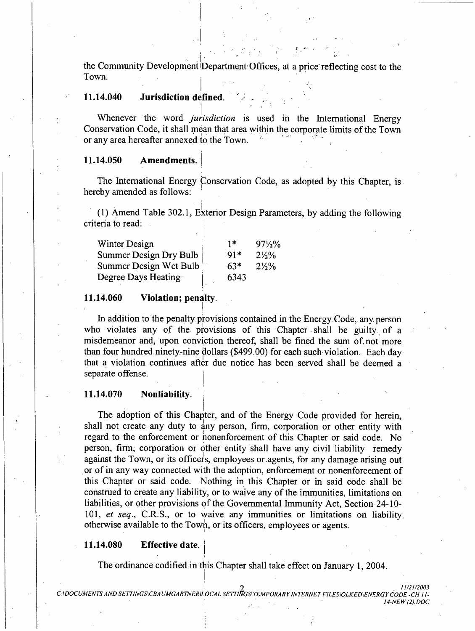the Community Development Department Offices, at a price reflecting cost to the Town.

#### 11.14.040 Jurisdiction defined.

Whenever the word *jurisdiction* is used in the International Energy Conservation Code, it shall mean that area within the corporate limits of the Town or any area hereafter annexed to the Town.

#### Amendments. 11.14.050

The International Energy Conservation Code, as adopted by this Chapter, is hereby amended as follows:

(1) Amend Table 302.1, Exterior Design Parameters, by adding the following criteria to read:

| Winter Design          | $1*$  | $97\frac{1}{2}\%$ |
|------------------------|-------|-------------------|
| Summer Design Dry Bulb | $91*$ | $2\frac{1}{2}\%$  |
| Summer Design Wet Bulb | $63*$ | $2\frac{1}{2}\%$  |
| Degree Days Heating    | 6343  |                   |

#### 11.14.060 Violation; penalty.

In addition to the penalty provisions contained in the Energy Code, any person who violates any of the provisions of this Chapter shall be guilty of a misdemeanor and, upon conviction thereof, shall be fined the sum of not more than four hundred ninety-nine dollars (\$499.00) for each such violation. Each day that a violation continues after due notice has been served shall be deemed a separate offense.

#### 11.14.070 Nonliability.

The adoption of this Chapter, and of the Energy Code provided for herein, shall not create any duty to any person, firm, corporation or other entity with regard to the enforcement or nonenforcement of this Chapter or said code. No person, firm, corporation or other entity shall have any civil liability remedy against the Town, or its officers, employees or agents, for any damage arising out or of in any way connected with the adoption, enforcement or nonenforcement of this Chapter or said code. Nothing in this Chapter or in said code shall be construed to create any liability, or to waive any of the immunities, limitations on liabilities, or other provisions of the Governmental Immunity Act, Section  $24-10-$ 101, et seq., C.R.S., or to waive any immunities or limitations on liability otherwise available to the Town, or its officers, employees or agents.

#### 11.14.080 **Effective date.**

The ordinance codified in this Chapter shall take effect on January 1, 2004.